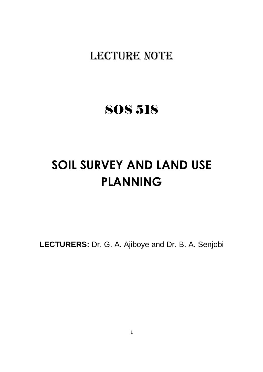## LECTURE NOTE

# SOS 518

# **SOIL SURVEY AND LAND USE PLANNING**

**LECTURERS:** Dr. G. A. Ajiboye and Dr. B. A. Senjobi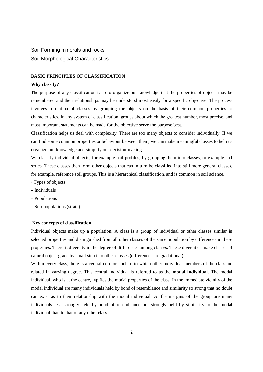## Soil Forming minerals and rocks Soil Morphological Characteristics

## **BASIC PRINCIPLES OF CLASSIFICATION**

## **Why classify?**

The purpose of any classification is so to organize our knowledge that the properties of objects may be remembered and their relationships may be understood most easily for a specific objective. The process involves formation of classes by grouping the objects on the basis of their common properties or characteristics. In any system of classification, groups about which the greatest number, most precise, and most important statements can be made for the objective serve the purpose best.

Classification helps us deal with complexity. There are too many objects to consider individually. If we can find some common properties or behaviour between them, we can make meaningful classes to help us organize our knowledge and simplify our decision-making.

We classify individual objects, for example soil profiles, by grouping them into classes, or example soil series. These classes then form other objects that can in turn be classified into still more general classes, for example, reference soil groups. This is a hierarchical classification, and is common in soil science.

- Types of objects
- Individuals
- Populations
- Sub-populations (strata)

## **Key concepts of classification**

Individual objects make up a population. A class is a group of individual or other classes similar in selected properties and distinguished from all other classes of the same population by differences in these properties. There is diversity in the degree of differences among classes. These diversities make classes of natural object grade by small step into other classes (differences are gradational).

Within every class, there is a central core or nucleus to which other individual members of the class are related in varying degree. This central individual is referred to as the **modal individual**. The modal individual, who is at the centre, typifies the modal properties of the class. In the immediate vicinity of the modal individual are many individuals held by bond of resemblance and similarity so strong that no doubt can exist as to their relationship with the modal individual. At the margins of the group are many individuals less strongly held by bond of resemblance but strongly held by similarity to the modal individual than to that of any other class.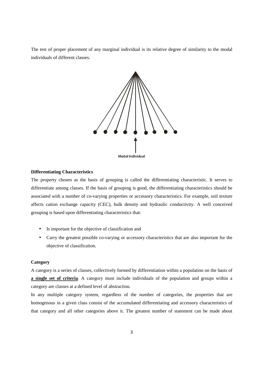The test of proper placement of any marginal individual is its relative degree of similarity to the modal individuals of different classes.



## **Differentiating Characteristics**

The property chosen as the basis of grouping is called the differentiating characteristic. It serves to differentiate among classes. If the basis of grouping is good, the differentiating characteristics should be associated with a number of co-varying properties or accessory characteristics. For example, soil texture affects cation exchange capacity (CEC), bulk density and hydraulic conductivity. A well conceived grouping is based upon differentiating characteristics that:

- Is important for the objective of classification and
- Carry the greatest possible co-varying or accessory characteristics that are also important for the objective of classification.

## **Category**

A category is a series of classes, collectively formed by differentiation within a population on the basis of **a single set of criteria**. A category must include individuals of the population and groups within a category are classes at a defined level of abstraction.

In any multiple category system, regardless of the number of categories, the properties that are homogenous in a given class consist of the accumulated differentiating and accessory characteristics of that category and all other categories above it. The greatest number of statement can be made about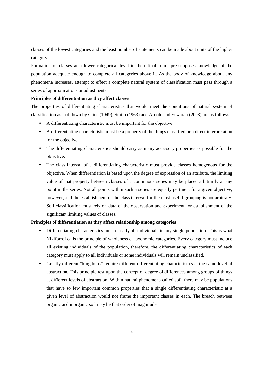classes of the lowest categories and the least number of statements can be made about units of the higher category.

Formation of classes at a lower categorical level in their final form, pre-supposes knowledge of the population adequate enough to complete all categories above it. As the body of knowledge about any phenomena increases, attempt to effect a complete natural system of classification must pass through a series of approximations or adjustments.

## **Principles of differentiation as they affect classes**

The properties of differentiating characteristics that would meet the conditions of natural system of classification as laid down by Cline (1949), Smith (1963) and Arnold and Eswaran (2003) are as follows:

- A differentiating characteristic must be important for the objective.
- A differentiating characteristic must be a property of the things classified or a direct interpretation for the objective.
- The differentiating characteristics should carry as many accessory properties as possible for the objective.
- The class interval of a differentiating characteristic must provide classes homogenous for the objective. When differentiation is based upon the degree of expression of an attribute, the limiting value of that property between classes of a continuous series may be placed arbitrarily at any point in the series. Not all points within such a series are equally pertinent for a given objective, however, and the establishment of the class interval for the most useful grouping is not arbitrary. Soil classification must rely on data of the observation and experiment for establishment of the significant limiting values of classes.

## **Principles of differentiation as they affect relationship among categories**

- Differentiating characteristics must classify all individuals in any single population. This is what Nikiforrof calls the principle of wholeness of taxonomic categories. Every category must include all existing individuals of the population, therefore, the differentiating characteristics of each category must apply to all individuals or some individuals will remain unclassified.
- Greatly different "kingdoms" require different differentiating characteristics at the same level of abstraction. This principle rest upon the concept of degree of differences among groups of things at different levels of abstraction. Within natural phenomena called soil, there may be populations that have so few important common properties that a single differentiating characteristic at a given level of abstraction would not frame the important classes in each. The breach between organic and inorganic soil may be that order of magnitude.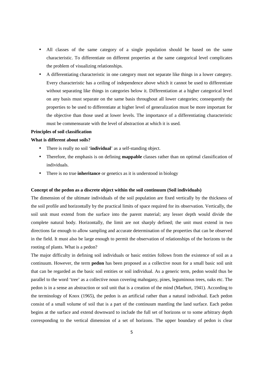- All classes of the same category of a single population should be based on the same characteristic. To differentiate on different properties at the same categorical level complicates the problem of visualizing relationships.
- A differentiating characteristic in one category must not separate like things in a lower category. Every characteristic has a ceiling of independence above which it cannot be used to differentiate without separating like things in categories below it. Differentiation at a higher categorical level on any basis must separate on the same basis throughout all lower categories; consequently the properties to be used to differentiate at higher level of generalization must be more important for the objective than those used at lower levels. The importance of a differentiating characteristic must be commensurate with the level of abstraction at which it is used.

## **Principles of soil classification**

## **What is different about soils?**

- There is really no soil '**individual**' as a self-standing object.
- Therefore, the emphasis is on defining **mappable** classes rather than on optimal classification of individuals.
- There is no true **inheritance** or genetics as it is understood in biology

#### **Concept of the pedon as a discrete object within the soil continuum (Soil individuals)**

The dimension of the ultimate individuals of the soil population are fixed vertically by the thickness of the soil profile and horizontally by the practical limits of space required for its observation. Vertically, the soil unit must extend from the surface into the parent material; any lesser depth would divide the complete natural body. Horizontally, the limit are not sharply defined; the unit must extend in two directions far enough to allow sampling and accurate determination of the properties that can be observed in the field. It must also be large enough to permit the observation of relationships of the horizons to the rooting of plants. What is a pedon?

The major difficulty in defining soil individuals or basic entities follows from the existence of soil as a continuum. However, the term **pedon** has been proposed as a collective noun for a small basic soil unit that can be regarded as the basic soil entities or soil individual. As a generic term, pedon would thus be parallel to the word 'tree' as a collective noun covering mahogany, pines, leguminous trees, oaks etc. The pedon is in a sense an abstraction or soil unit that is a creation of the mind (Marburt, 1941). According to the terminology of Knox (1965), the pedon is an artificial rather than a natural individual. Each pedon consist of a small volume of soil that is a part of the continuum mantling the land surface. Each pedon begins at the surface and extend downward to include the full set of horizons or to some arbitrary depth corresponding to the vertical dimension of a set of horizons. The upper boundary of pedon is clear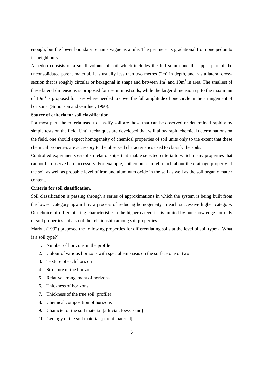enough, but the lower boundary remains vague as a rule. The perimeter is gradational from one pedon to its neighbours.

A pedon consists of a small volume of soil which includes the full solum and the upper part of the unconsolidated parent material. It is usually less than two metres (2m) in depth, and has a lateral crosssection that is roughly circular or hexagonal in shape and between  $1m^2$  and  $10m^2$  in area. The smallest of these lateral dimensions is proposed for use in most soils, while the larger dimension up to the maximum of  $10m<sup>2</sup>$  is proposed for uses where needed to cover the full amplitude of one circle in the arrangement of horizons (Simonson and Gardner, 1960).

## **Source of criteria for soil classification.**

For most part, the criteria used to classify soil are those that can be observed or determined rapidly by simple tests on the field. Until techniques are developed that will allow rapid chemical determinations on the field, one should expect homogeneity of chemical properties of soil units only to the extent that these chemical properties are accessory to the observed characteristics used to classify the soils.

Controlled experiments establish relationships that enable selected criteria to which many properties that cannot be observed are accessory. For example, soil colour can tell much about the drainage property of the soil as well as probable level of iron and aluminum oxide in the soil as well as the soil organic matter content.

## **Criteria for soil classification.**

Soil classification is passing through a series of approximations in which the system is being built from the lowest category upward by a process of reducing homogeneity in each successive higher category. Our choice of differentiating characteristic in the higher categories is limited by our knowledge not only of soil properties but also of the relationship among soil properties.

Marbut (1932) proposed the following properties for differentiating soils at the level of soil type:- [What is a soil type?]

- 1. Number of horizons in the profile
- 2. Colour of various horizons with special emphasis on the surface one or two
- 3. Texture of each horizon
- 4. Structure of the horizons
- 5. Relative arrangement of horizons
- 6. Thickness of horizons
- 7. Thickness of the true soil (profile)
- 8. Chemical composition of horizons
- 9. Character of the soil material [alluvial, loess, sand]
- 10. Geology of the soil material [parent material]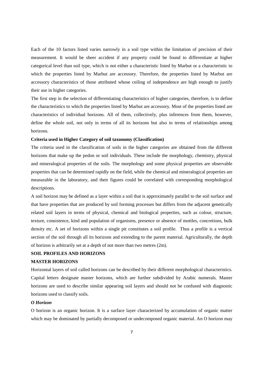Each of the 10 factors listed varies narrowly in a soil type within the limitation of precision of their measurement. It would be sheer accident if any property could be found to differentiate at higher categorical level than soil type, which is not either a characteristic listed by Marbut or a characteristic to which the properties listed by Marbut are accessory. Therefore, the properties listed by Marbut are accessory characteristics of those attributed whose ceiling of independence are high enough to justify their use in higher categories.

The first step in the selection of differentiating characteristics of higher categories, therefore, is to define the characteristics to which the properties listed by Marbut are accessory. Most of the properties listed are characteristics of individual horizons. All of them, collectively, plus inferences from them, however, define the whole soil, not only in terms of all its horizons but also in terms of relationships among horizons.

## **Criteria used in Higher Category of soil taxonomy (Classification)**

The criteria used in the classification of soils in the higher categories are obtained from the different horizons that make up the pedon or soil individuals. These include the morphology, chemistry, physical and mineralogical properties of the soils. The morphology and some physical properties are observable properties that can be determined rapidly on the field, while the chemical and mineralogical properties are measurable in the laboratory, and their figures could be correlated with corresponding morphological descriptions.

A soil horizon may be defined as a layer within a soil that is approximately parallel to the soil surface and that have properties that are produced by soil forming processes but differs from the adjacent genetically related soil layers in terms of physical, chemical and biological properties, such as colour, structure, texture, consistence, kind and population of organisms, presence or absence of mottles, concretions, bulk density etc. A set of horizons within a single pit constitutes a soil profile. Thus a profile is a vertical section of the soil through all its horizons and extending to the parent material. Agriculturally, the depth of horizon is arbitrarily set at a depth of not more than two metres (2m).

## **SOIL PROFILES AND HORIZONS**

## **MASTER HORIZONS**

Horizontal layers of soil called horizons can be described by their different morphological characteristics. Capital letters designate master horizons, which are further subdivided by Arabic numerals. Master horizons are used to describe similar appearing soil layers and should not be confused with diagnostic horizons used to classify soils.

## *O Horizon*

O horizon is an organic horizon. It is a surface layer characterized by accumulation of organic matter which may be dominated by partially decomposed or undecomposed organic material. An O horizon may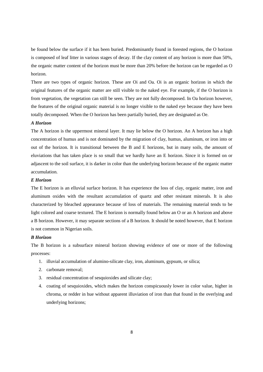be found below the surface if it has been buried. Predominantly found in forested regions, the O horizon is composed of leaf litter in various stages of decay. If the clay content of any horizon is more than 50%, the organic matter content of the horizon must be more than 20% before the horizon can be regarded as O horizon.

There are two types of organic horizon. These are Oi and Oa. Oi is an organic horizon in which the original features of the organic matter are still visible to the naked eye. For example, if the O horizon is from vegetation, the vegetation can still be seen. They are not fully decomposed. In Oa horizon however, the features of the original organic material is no longer visible to the naked eye because they have been totally decomposed. When the O horizon has been partially buried, they are designated as Oe.

## *A Horizon*

The A horizon is the uppermost mineral layer. It may lie below the O horizon. An A horizon has a high concentration of humus and is not dominated by the migration of clay, humus, aluminum, or iron into or out of the horizon. It is transitional between the B and E horizons, but in many soils, the amount of eluviations that has taken place is so small that we hardly have an E horizon. Since it is formed on or adjascent to the soil surface, it is darker in color than the underlying horizon because of the organic matter accumulation.

## *E Horizon*

The E horizon is an elluvial surface horizon. It has experience the loss of clay, organic matter, iron and aluminum oxides with the resultant accumulation of quartz and other resistant minerals. It is also characterized by bleached appearance because of loss of materials. The remaining material tends to be light colored and coarse textured. The E horizon is normally found below an O or an A horizon and above a B horizon. However, it may separate sections of a B horizon. It should be noted however, that E horizon is not common in Nigerian soils.

#### *B Horizon*

The B horizon is a subsurface mineral horizon showing evidence of one or more of the following processes:

- 1. illuvial accumulation of alumino-silicate clay, iron, aluminum, gypsum, or silica;
- 2. carbonate removal;
- 3. residual concentration of sesquioxides and silicate clay;
- 4. coating of sesquioxides, which makes the horizon conspicuously lower in color value, higher in chroma, or redder in hue without apparent illuviation of iron than that found in the overlying and underlying horizons;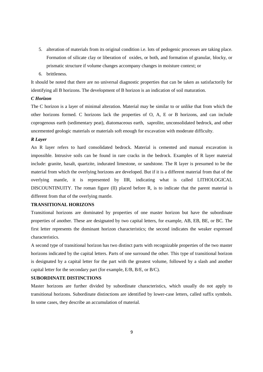- 5. alteration of materials from its original condition i.e. lots of pedogenic processes are taking place. Formation of silicate clay or liberation of oxides, or both, and formation of granular, blocky, or prismatic structure if volume changes accompany changes in moisture context; or
- 6. brittleness.

It should be noted that there are no universal diagnostic properties that can be taken as satisfactorily for identifying all B horizons. The development of B horizon is an indication of soil maturation.

## *C Horizon*

The C horizon is a layer of minimal alteration. Material may be similar to or unlike that from which the other horizons formed. C horizons lack the properties of O, A, E or B horizons, and can include coprogenous earth (sedimentary peat), diatomaceous earth, saprolite, unconsolidated bedrock, and other uncemented geologic materials or materials soft enough for excavation with moderate difficulty.

## *R Layer*

An R layer refers to hard consolidated bedrock. Material is cemented and manual excavation is impossible. Intrusive soils can be found in rare cracks in the bedrock. Examples of R layer material include: granite, basalt, quartzite, indurated limestone, or sandstone. The R layer is presumed to be the material from which the overlying horizons are developed. But if it is a different material from that of the overlying mantle, it is represented by IIR, indicating what is called LITHOLOGICAL DISCOUNTINUITY. The roman figure (II) placed before R, is to indicate that the parent material is different from that of the overlying mantle.

## **TRANSITIONAL HORIZONS**

Transitional horizons are dominated by properties of one master horizon but have the subordinate properties of another. These are designated by two capital letters, for example, AB, EB, BE, or BC. The first letter represents the dominant horizon characteristics; the second indicates the weaker expressed characteristics.

A second type of transitional horizon has two distinct parts with recognizable properties of the two master horizons indicated by the capital letters. Parts of one surround the other. This type of transitional horizon is designated by a capital letter for the part with the greatest volume, followed by a slash and another capital letter for the secondary part (for example, E/B, B/E, or B/C).

## **SUBORDINATE DISTINCTIONS**

Master horizons are further divided by subordinate characteristics, which usually do not apply to transitional horizons. Subordinate distinctions are identified by lower-case letters, called suffix symbols. In some cases, they describe an accumulation of material.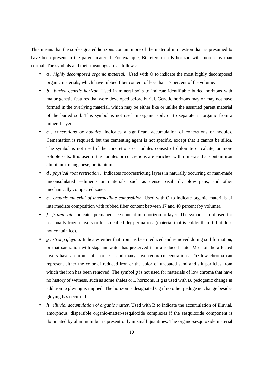This means that the so-designated horizons contain more of the material in question than is presumed to have been present in the parent material. For example, Bt refers to a B horizon with more clay than normal. The symbols and their meanings are as follows:-

- *a . highly decomposed organic material.* Used with O to indicate the most highly decomposed organic materials, which have rubbed fiber content of less than 17 percent of the volume.
- *b . buried genetic horizon.* Used in mineral soils to indicate identifiable buried horizons with major genetic features that were developed before burial. Genetic horizons may or may not have formed in the overlying material, which may be either like or unlike the assumed parent material of the buried soil. This symbol is not used in organic soils or to separate an organic from a mineral layer.
- *c . concretions or nodules.* Indicates a significant accumulation of concretions or nodules. Cementation is required, but the cementing agent is not specific, except that it cannot be silica. The symbol is not used if the concretions or nodules consist of dolomite or calcite, or more soluble salts. It is used if the nodules or concretions are enriched with minerals that contain iron aluminum, manganese, or titanium.
- *d . physical root restriction* . Indicates root-restricting layers in naturally occurring or man-made unconsolidated sediments or materials, such as dense basal till, plow pans, and other mechanically compacted zones.
- *e . organic material of intermediate composition.* Used with O to indicate organic materials of intermediate composition with rubbed fiber content between 17 and 40 percent (by volume).
- *f. frozen soil.* Indicates permanent ice content in a horizon or layer. The symbol is not used for seasonally frozen layers or for so-called dry permafrost (material that is colder than  $0^{\circ}$  but does not contain ice).
- *g* . *strong gleying.* Indicates either that iron has been reduced and removed during soil formation, or that saturation with stagnant water has preserved it in a reduced state. Most of the affected layers have a chroma of 2 or less, and many have redox concentrations. The low chroma can represent either the color of reduced iron or the color of uncoated sand and silt particles from which the iron has been removed. The symbol *g* is not used for materials of low chroma that have no history of wetness, such as some shales or E horizons. If g is used with B, pedogenic change in addition to gleying is implied. The horizon is designated Cg if no other pedogenic change besides gleying has occurred.
- *h* . *illuvial accumulation of organic matter.* Used with B to indicate the accumulation of illuvial, amorphous, dispersible organic-matter-sesquioxide complexes if the sesquioxide component is dominated by aluminum but is present only in small quantities. The organo-sesquioxide material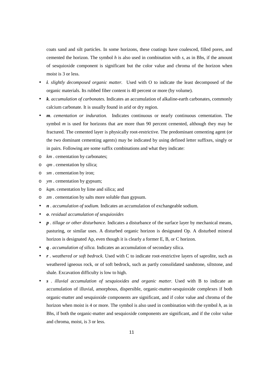coats sand and silt particles. In some horizons, these coatings have coalesced, filled pores, and cemented the horizon. The symbol *h* is also used in combination with *s*, as in Bhs, if the amount of sesquioxide component is significant but the color value and chroma of the horizon when moist is 3 or less.

- *i*. *slightly decomposed organic matter.* Used with O to indicate the least decomposed of the organic materials. Its rubbed fiber content is 40 percent or more (by volume).
- *k*. *accumulation of carbonates.* Indicates an accumulation of alkaline-earth carbonates, commonly calcium carbonate. It is usually found in arid or dry region.
- *m*. *cementation or induration.* Indicates continuous or nearly continuous cementation. The symbol *m* is used for horizons that are more than 90 percent cemented, although they may be fractured. The cemented layer is physically root-restrictive. The predominant cementing agent (or the two dominant cementing agents) may be indicated by using defined letter suffixes, singly or in pairs. Following are some suffix combinations and what they indicate:
- o *km* . cementation by carbonates;
- o *qm* . cementation by silica;
- o *sm* . cementation by iron;
- o *ym* . cementation by gypsum;
- o *kqm*. cementation by lime and silica; and
- o *zm* . cementation by salts more soluble than gypsum.
- *n* . *accumulation of sodium.* Indicates an accumulation of exchangeable sodium.
- *o*. *residual accumulation of sesquioxides*
- *p* . *tillage or other disturbance.* Indicates a disturbance of the surface layer by mechanical means, pasturing, or similar uses. A disturbed organic horizon is designated Op. A disturbed mineral horizon is designated Ap, even though it is clearly a former E, B, or C horizon.
- *q* . *accumulation of silica.* Indicates an accumulation of secondary silica.
- *r* . *weathered or soft bedrock.* Used with C to indicate root-restrictive layers of saprolite, such as weathered igneous rock, or of soft bedrock, such as partly consolidated sandstone, siltstone, and shale. Excavation difficulty is low to high.
- *s* . *illuvial accumulation of sesquioxides and organic matter.* Used with B to indicate an accumulation of illuvial, amorphous, dispersible, organic-matter-sesquioxide complexes if both organic-matter and sesquioxide components are significant, and if color value and chroma of the horizon when moist is 4 or more. The symbol is also used in combination with the symbol *h*, as in Bhs, if both the organic-matter and sesquioxide components are significant, and if the color value and chroma, moist, is 3 or less.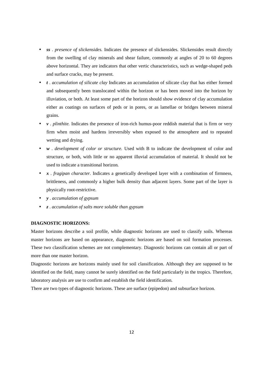- *ss. presence of slickensides*. Indicates the presence of slickensides. Slickensides result directly from the swelling of clay minerals and shear failure, commonly at angles of 20 to 60 degrees above horizontal. They are indicators that other vertic characteristics, such as wedge-shaped peds and surface cracks, may be present.
- *t* . *accumulation of silicate clay* Indicates an accumulation of silicate clay that has either formed and subsequently been translocated within the horizon or has been moved into the horizon by illuviation, or both. At least some part of the horizon should show evidence of clay accumulation either as coatings on surfaces of peds or in pores, or as lamellae or bridges between mineral grains.
- *v* . *plinthite.* Indicates the presence of iron-rich humus-poor reddish material that is firm or very firm when moist and hardens irreversibly when exposed to the atmosphere and to repeated wetting and drying.
- *w* . *development of color or structure.* Used with B to indicate the development of color and structure, or both, with little or no apparent illuvial accumulation of material. It should not be used to indicate a transitional horizon.
- *x* . *fragipan character*. Indicates a genetically developed layer with a combination of firmness, brittleness, and commonly a higher bulk density than adjacent layers. Some part of the layer is physically root-restrictive.
- *y* . *accumulation of gypsum*
- *z* . *accumulation of salts more soluble than gypsum*

## **DIAGNOSTIC HORIZONS:**

Master horizons describe a soil profile, while diagnostic horizons are used to classify soils. Whereas master horizons are based on appearance, diagnostic horizons are based on soil formation processes. These two classification schemes are not complementary. Diagnostic horizons can contain all or part of more than one master horizon.

Diagnostic horizons are horizons mainly used for soil classification. Although they are supposed to be identified on the field, many cannot be surely identified on the field particularly in the tropics. Therefore, laboratory analysis are use to confirm and establish the field identification.

There are two types of diagnostic horizons. These are surface (epipedon) and subsurface horizon.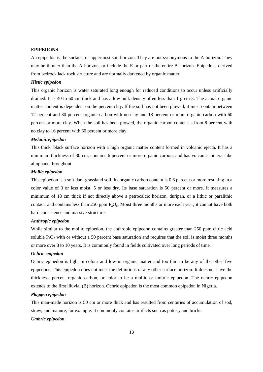### **EPIPEDONS**

An epipedon is the surface, or uppermost soil horizon. They are not synonymous to the A horizon. They may be thinner than the A horizon, or include the E or part or the entire B horizon. Epipedons derived from bedrock lack rock structure and are normally darkened by organic matter.

## *Histic epipedon*

This organic horizon is water saturated long enough for reduced conditions to occur unless artificially drained. It is 40 to 60 cm thick and has a low bulk density often less than 1 g cm-3. The actual organic matter content is dependent on the percent clay. If the soil has not been plowed, it must contain between 12 percent and 30 percent organic carbon with no clay and 18 percent or more organic carbon with 60 percent or more clay. When the soil has been plowed, the organic carbon content is from 8 percent with no clay to 16 percent with 60 percent or more clay.

## *Melanic epipedon*

This thick, black surface horizon with a high organic matter content formed in volcanic ejecta. It has a minimum thickness of 30 cm, contains 6 percent or more organic carbon, and has volcanic mineral-like allophane throughout.

## *Mollic epipedon*

This epipedon is a soft dark grassland soil. Its organic carbon content is 0.6 percent or more resulting in a color value of 3 or less moist, 5 or less dry. Its base saturation is 50 percent or more. It measures a minimum of 18 cm thick if not directly above a petrocalcic horizon, duripan, or a lithic or paralithic contact, and contains less than 250 ppm  $P_2O_5$ . Moist three months or more each year, it cannot have both hard consistence and massive structure.

## *Anthropic epipedon*

While similar to the mollic epipedon, the anthropic epipedon contains greater than 250 ppm citric acid soluble  $P_2O_5$  with or without a 50 percent base saturation and requires that the soil is moist three months or more over 8 to 10 years. It is commonly found in fields cultivated over long periods of time.

## *Ochric epipedon*

Ochric epipedon is light in colour and low in organic matter and too thin to be any of the other five epipedons. This epipedon does not meet the definitions of any other surface horizon. It does not have the thickness, percent organic carbon, or color to be a mollic or umbric epipedon. The ochric epipedon extends to the first illuvial (B) horizon. Ochric epipedon is the most common epipedon in Nigeria.

## *Plaggen epipedon*

This man-made horizon is 50 cm or more thick and has resulted from centuries of accumulation of sod, straw, and manure, for example. It commonly contains artifacts such as pottery and bricks.

## *Umbric epipedon*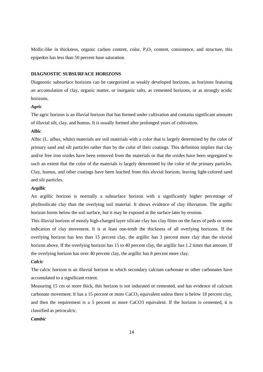Mollic-like in thickness, organic carbon content, color,  $P_2O_5$  content, consistence, and structure, this epipedon has less than 50 percent base saturation.

## **DIAGNOSTIC SUBSURFACE HORIZONS**

Diagnostic subsurface horizons can be categorized as weakly developed horizons, as horizons featuring an accumulation of clay, organic matter, or inorganic salts, as cemented horizons, or as strongly acidic horizons.

## *Agric*

The agric horizon is an illuvial horizon that has formed under cultivation and contains significant amounts of illuvial silt, clay, and humus. It is usually formed after prolonged years of cultivation.

## *Albic*

Albic (L. *albus*, white) materials are soil materials with a color that is largely determined by the color of primary sand and silt particles rather than by the color of their coatings. This definition implies that clay and/or free iron oxides have been removed from the materials or that the oxides have been segregated to such an extent that the color of the materials is largely determined by the color of the primary particles. Clay, humus, and other coatings have been leached from this eluvial horizon, leaving light-colored sand and silt particles.

#### *Argillic*

An argillic horizon is normally a subsurface horizon with a significantly higher percentage of phyllosilicate clay than the overlying soil material. It shows evidence of clay illuviation. The argillic horizon forms below the soil surface, but it may be exposed at the surface later by erosion.

This illuvial horizon of mostly high-charged layer silicate clay has clay films on the faces of peds or some indication of clay movement. It is at least one-tenth the thickness of all overlying horizons. If the overlying horizon has less than 15 percent clay, the argillic has 3 percent more clay than the eluvial horizon above. If the overlying horizon has 15 to 40 percent clay, the argillic has 1.2 times that amount. If the overlying horizon has over 40 percent clay, the argillic has 8 percent more clay.

## *Calcic*

The calcic horizon is an illuvial horizon in which secondary calcium carbonate or other carbonates have accumulated to a significant extent.

Measuring 15 cm or more thick, this horizon is not indurated or cemented, and has evidence of calcium carbonate movement. It has a 15 percent or more  $CaCO<sub>3</sub>$  equivalent unless there is below 18 percent clay, and then the requirement is a 5 percent or more CaCO3 equivalent. If the horizon is cemented, it is classified as petrocalcic.

## *Cambic*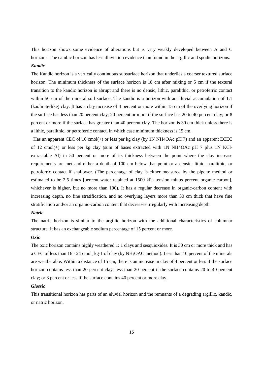This horizon shows some evidence of alterations but is very weakly developed between A and C horizons. The cambic horizon has less illuviation evidence than found in the argillic and spodic horizons. *Kandic* 

The Kandic horizon is a vertically continuous subsurface horizon that underlies a coarser textured surface horizon. The minimum thickness of the surface horizon is 18 cm after mixing or 5 cm if the textural transition to the kandic horizon is abrupt and there is no densic, lithic, paralithic, or petroferric contact within 50 cm of the mineral soil surface. The kandic is a horizon with an illuvial accumulation of 1:1 (kaolinite-like) clay. It has a clay increase of 4 percent or more within 15 cm of the overlying horizon if the surface has less than 20 percent clay; 20 percent or more if the surface has 20 to 40 percent clay; or 8 percent or more if the surface has greater than 40 percent clay. The horizon is 30 cm thick unless there is a lithic, paralithic, or petroferric contact, in which case minimum thickness is 15 cm.

Has an apparent CEC of 16 cmol(+) or less per kg clay (by 1N NH4OAc pH 7) and an apparent ECEC of 12 cmol(+) or less per kg clay (sum of bases extracted with 1N NH4OAc pH 7 plus 1N KClextractable Al) in 50 percent or more of its thickness between the point where the clay increase requirements are met and either a depth of 100 cm below that point or a densic, lithic, paralithic, or petroferric contact if shallower. (The percentage of clay is either measured by the pipette method or estimated to be 2.5 times [percent water retained at 1500 kPa tension minus percent organic carbon], whichever is higher, but no more than 100). It has a regular decrease in organic-carbon content with increasing depth, no fine stratification, and no overlying layers more than 30 cm thick that have fine stratification and/or an organic-carbon content that decreases irregularly with increasing depth.

## *Natric*

The natric horizon is similar to the argillic horizon with the additional characteristics of columnar structure. It has an exchangeable sodium percentage of 15 percent or more.

## *Oxic*

The oxic horizon contains highly weathered 1: 1 clays and sesquioxides. It is 30 cm or more thick and has a CEC of less than  $16 - 24$  cmol<sub>c</sub> kg-1 of clay (by NH<sub>4</sub>OAC method). Less than 10 percent of the minerals are weatherable. Within a distance of 15 cm, there is an increase in clay of 4 percent or less if the surface horizon contains less than 20 percent clay; less than 20 percent if the surface contains 20 to 40 percent clay; or 8 percent or less if the surface contains 40 percent or more clay.

#### *Glossic*

This transitional horizon has parts of an eluvial horizon and the remnants of a degrading argillic, kandic, or natric horizon.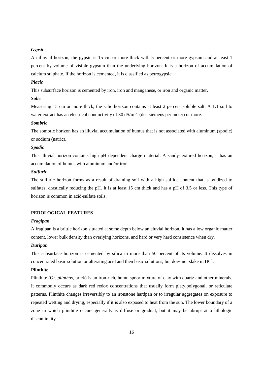## *Gypsic*

An illuvial horizon, the gypsic is 15 cm or more thick with 5 percent or more gypsum and at least 1 percent by volume of visible gypsum than the underlying horizon. It is a horizon of accumulation of calcium sulphate. If the horizon is cemented, it is classified as petrogypsic.

## *Placic*

This subsurface horizon is cemented by iron, iron and manganese, or iron and organic matter.

## *Salic*

Measuring 15 cm or more thick, the salic horizon contains at least 2 percent soluble salt. A 1:1 soil to water extract has an electrical conductivity of 30 dS/m-1 (decisiemens per meter) or more.

## *Sombric*

The sombric horizon has an illuvial accumulation of humus that is not associated with aluminum (spodic) or sodium (natric).

## *Spodic*

This illuvial horizon contains high pH dependent charge material. A sandy-textured horizon, it has an accumulation of humus with aluminum and/or iron.

## *Sulfuric*

The sulfuric horizon forms as a result of draining soil with a high sulfide content that is oxidized to sulfates, drastically reducing the pH. It is at least 15 cm thick and has a pH of 3.5 or less. This type of horizon is common in acid-sulfate soils.

## **PEDOLOGICAL FEATURES**

## *Fragipan*

A fragipan is a brittle horizon situated at some depth below an eluvial horizon. It has a low organic matter content, lower bulk density than overlying horizons, and hard or very hard consistence when dry.

## *Duripan*

This subsurface horizon is cemented by silica in more than 50 percent of its volume. It dissolves in concentrated basic solution or alterating acid and then basic solutions, but does not slake in HCl.

## **Plinthite**

Plinthite (Gr. *plinthos*, brick) is an iron-rich, humu spoor mixture of clay with quartz and other minerals. It commonly occurs as dark red redox concentrations that usually form platy,polygonal, or reticulate patterns. Plinthite changes irreversibly to an ironstone hardpan or to irregular aggregates on exposure to repeated wetting and drying, especially if it is also exposed to heat from the sun. The lower boundary of a zone in which plinthite occurs generally is diffuse or gradual, but it may be abrupt at a lithologic discontinuity.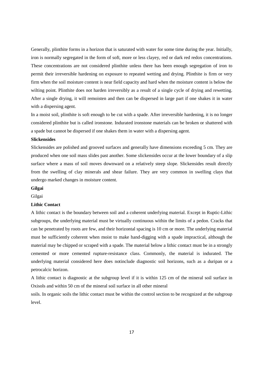Generally, plinthite forms in a horizon that is saturated with water for some time during the year. Initially, iron is normally segregated in the form of soft, more or less clayey, red or dark red redox concentrations. These concentrations are not considered plinthite unless there has been enough segregation of iron to permit their irreversible hardening on exposure to repeated wetting and drying. Plinthite is firm or very firm when the soil moisture content is near field capacity and hard when the moisture content is below the wilting point. Plinthite does not harden irreversibly as a result of a single cycle of drying and rewetting. After a single drying, it will remoisten and then can be dispersed in large part if one shakes it in water with a dispersing agent.

In a moist soil, plinthite is soft enough to be cut with a spade. After irreversible hardening, it is no longer considered plinthite but is called ironstone. Indurated ironstone materials can be broken or shattered with a spade but cannot be dispersed if one shakes them in water with a dispersing agent.

## **Slickensides**

Slickensides are polished and grooved surfaces and generally have dimensions exceeding 5 cm. They are produced when one soil mass slides past another. Some slickensides occur at the lower boundary of a slip surface where a mass of soil moves downward on a relatively steep slope. Slickensides result directly from the swelling of clay minerals and shear failure. They are very common in swelling clays that undergo marked changes in moisture content.

## **Gilgai**

Gilgai

## **Lithic Contact**

A lithic contact is the boundary between soil and a coherent underlying material. Except in Ruptic-Lithic subgroups, the underlying material must be virtually continuous within the limits of a pedon. Cracks that can be penetrated by roots are few, and their horizontal spacing is 10 cm or more. The underlying material must be sufficiently coherent when moist to make hand-digging with a spade impractical, although the material may be chipped or scraped with a spade. The material below a lithic contact must be in a strongly cemented or more cemented rupture-resistance class. Commonly, the material is indurated. The underlying material considered here does notinclude diagnostic soil horizons, such as a duripan or a petrocalcic horizon.

A lithic contact is diagnostic at the subgroup level if it is within 125 cm of the mineral soil surface in Oxisols and within 50 cm of the mineral soil surface in all other mineral

soils. In organic soils the lithic contact must be within the control section to be recognized at the subgroup level.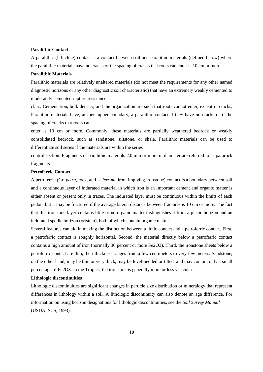## **Paralithic Contact**

A paralithic (lithiclike) contact is a contact between soil and paralithic materials (defined below) where the paralithic materials have no cracks or the spacing of cracks that roots can enter is 10 cm or more.

## **Paralithic Materials**

Paralithic materials are relatively unaltered materials (do not meet the requirements for any other named diagnostic horizons or any other diagnostic soil characteristic) that have an extremely weakly cemented to moderately cemented rupture resistance

class. Cementation, bulk density, and the organization are such that roots cannot enter, except in cracks. Paralithic materials have, at their upper boundary, a paralithic contact if they have no cracks or if the spacing of cracks that roots can

enter is 10 cm or more. Commonly, these materials are partially weathered bedrock or weakly consolidated bedrock, such as sandstone, siltstone, or shale. Paralithic materials can be used to differentiate soil series if the materials are within the series

control section. Fragments of paralithic materials 2.0 mm or more in diameter are referred to as pararock fragments.

## **Petroferric Contact**

A petroferric (Gr. *petra*, rock, and L. *ferrum*, iron; implying ironstone) contact is a boundary between soil and a continuous layer of indurated material in which iron is an important cement and organic matter is either absent or present only in traces. The indurated layer must be continuous within the limits of each pedon, but it may be fractured if the average lateral distance between fractures is 10 cm or more. The fact that this ironstone layer contains little or no organic matter distinguishes it from a placic horizon and an indurated spodic horizon (ortstein), both of which contain organic matter.

Several features can aid in making the distinction between a lithic contact and a petroferric contact. First, a petroferric contact is roughly horizontal. Second, the material directly below a petroferric contact contains a high amount of iron (normally 30 percent or more Fe2O3). Third, the ironstone sheets below a petroferric contact are thin; their thickness ranges from a few centimeters to very few meters. Sandstone, on the other hand, may be thin or very thick, may be level-bedded or tilted, and may contain only a small percentage of Fe2O3. In the Tropics, the ironstone is generally more or less vesicular.

## **Lithologic discontinuities**

Lithologic discontinuities are significant changes in particle size distribution or mineralogy that represent differences in lithology within a soil. A lithologic discontinuity can also denote an age difference. For information on using horizon designations for lithologic discontinuities, see the *Soil Survey Manual*  (USDA, SCS, 1993).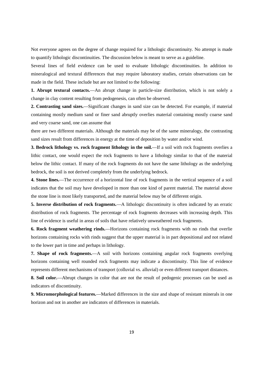Not everyone agrees on the degree of change required for a lithologic discontinuity. No attempt is made to quantify lithologic discontinuities. The discussion below is meant to serve as a guideline.

Several lines of field evidence can be used to evaluate lithologic discontinuities. In addition to mineralogical and textural differences that may require laboratory studies, certain observations can be made in the field. These include but are not limited to the following:

**1. Abrupt textural contacts.**—An abrupt change in particle-size distribution, which is not solely a change in clay content resulting from pedogenesis, can often be observed.

**2. Contrasting sand sizes.**—Significant changes in sand size can be detected. For example, if material containing mostly medium sand or finer sand abruptly overlies material containing mostly coarse sand and very coarse sand, one can assume that

there are two different materials. Although the materials may be of the same mineralogy, the contrasting sand sizes result from differences in energy at the time of deposition by water and/or wind.

**3. Bedrock lithology vs. rock fragment lithology in the soil.**—If a soil with rock fragments overlies a lithic contact, one would expect the rock fragments to have a lithology similar to that of the material below the lithic contact. If many of the rock fragments do not have the same lithology as the underlying bedrock, the soil is not derived completely from the underlying bedrock.

**4. Stone lines.**—The occurrence of a horizontal line of rock fragments in the vertical sequence of a soil indicates that the soil may have developed in more than one kind of parent material. The material above the stone line is most likely transported, and the material below may be of different origin.

**5. Inverse distribution of rock fragments.**—A lithologic discontinuity is often indicated by an erratic distribution of rock fragments. The percentage of rock fragments decreases with increasing depth. This line of evidence is useful in areas of soils that have relatively unweathered rock fragments.

**6. Rock fragment weathering rinds.**—Horizons containing rock fragments with no rinds that overlie horizons containing rocks with rinds suggest that the upper material is in part depositional and not related to the lower part in time and perhaps in lithology.

**7. Shape of rock fragments.**—A soil with horizons containing angular rock fragments overlying horizons containing well rounded rock fragments may indicate a discontinuity. This line of evidence represents different mechanisms of transport (colluvial vs. alluvial) or even different transport distances.

**8. Soil color.**—Abrupt changes in color that are not the result of pedogenic processes can be used as indicators of discontinuity.

**9. Micromorphological features.**—Marked differences in the size and shape of resistant minerals in one horizon and not in another are indicators of differences in materials.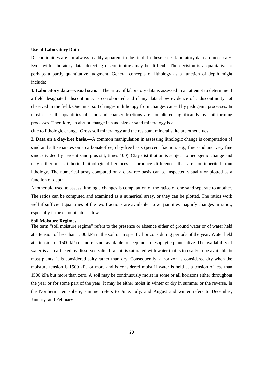#### **Use of Laboratory Data**

Discontinuities are not always readily apparent in the field. In these cases laboratory data are necessary. Even with laboratory data, detecting discontinuities may be difficult. The decision is a qualitative or perhaps a partly quantitative judgment. General concepts of lithology as a function of depth might include:

**1. Laboratory data—visual scan.**—The array of laboratory data is assessed in an attempt to determine if a field designated discontinuity is corroborated and if any data show evidence of a discontinuity not observed in the field. One must sort changes in lithology from changes caused by pedogenic processes. In most cases the quantities of sand and coarser fractions are not altered significantly by soil-forming processes. Therefore, an abrupt change in sand size or sand mineralogy is a

clue to lithologic change. Gross soil mineralogy and the resistant mineral suite are other clues.

**2. Data on a clay-free basis.**—A common manipulation in assessing lithologic change is computation of sand and silt separates on a carbonate-free, clay-free basis (percent fraction, e.g., fine sand and very fine sand, divided by percent sand plus silt, times 100). Clay distribution is subject to pedogenic change and may either mask inherited lithologic differences or produce differences that are not inherited from lithology. The numerical array computed on a clay-free basis can be inspected visually or plotted as a function of depth.

Another aid used to assess lithologic changes is computation of the ratios of one sand separate to another. The ratios can be computed and examined as a numerical array, or they can be plotted. The ratios work well if sufficient quantities of the two fractions are available. Low quantities magnify changes in ratios, especially if the denominator is low.

#### **Soil Moisture Regimes**

The term "soil moisture regime" refers to the presence or absence either of ground water or of water held at a tension of less than 1500 kPa in the soil or in specific horizons during periods of the year. Water held at a tension of 1500 kPa or more is not available to keep most mesophytic plants alive. The availability of water is also affected by dissolved salts. If a soil is saturated with water that is too salty to be available to most plants, it is considered salty rather than dry. Consequently, a horizon is considered dry when the moisture tension is 1500 kPa or more and is considered moist if water is held at a tension of less than 1500 kPa but more than zero. A soil may be continuously moist in some or all horizons either throughout the year or for some part of the year. It may be either moist in winter or dry in summer or the reverse. In the Northern Hemisphere, summer refers to June, July, and August and winter refers to December, January, and February.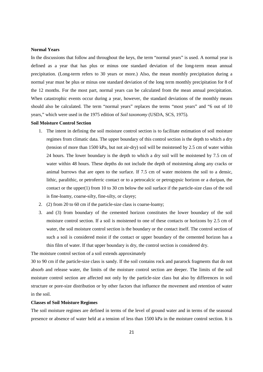## **Normal Years**

In the discussions that follow and throughout the keys, the term "normal years" is used. A normal year is defined as a year that has plus or minus one standard deviation of the long-term mean annual precipitation. (Long-term refers to 30 years or more.) Also, the mean monthly precipitation during a normal year must be plus or minus one standard deviation of the long term monthly precipitation for 8 of the 12 months. For the most part, normal years can be calculated from the mean annual precipitation. When catastrophic events occur during a year, however, the standard deviations of the monthly means should also be calculated. The term "normal years" replaces the terms "most years" and "6 out of 10 years," which were used in the 1975 edition of *Soil taxonomy* (USDA, SCS, 1975).

## **Soil Moisture Control Section**

- 1. The intent in defining the soil moisture control section is to facilitate estimation of soil moisture regimes from climatic data. The upper boundary of this control section is the depth to which a dry (tension of more than 1500 kPa, but not air-dry) soil will be moistened by 2.5 cm of water within 24 hours. The lower boundary is the depth to which a dry soil will be moistened by 7.5 cm of water within 48 hours. These depths do not include the depth of moistening along any cracks or animal burrows that are open to the surface. If 7.5 cm of water moistens the soil to a densic, lithic, paralithic, or petroferric contact or to a petrocalcic or petrogypsic horizon or a duripan, the contact or the upper(1) from 10 to 30 cm below the soil surface if the particle-size class of the soil is fine-loamy, coarse-silty, fine-silty, or clayey;
- 2. (2) from 20 to 60 cm if the particle-size class is coarse-loamy;
- 3. and (3) from boundary of the cemented horizon constitutes the lower boundary of the soil moisture control section. If a soil is moistened to one of these contacts or horizons by 2.5 cm of water, the soil moisture control section is the boundary or the contact itself. The control section of such a soil is considered moist if the contact or upper boundary of the cemented horizon has a thin film of water. If that upper boundary is dry, the control section is considered dry.

The moisture control section of a soil extends approximately

30 to 90 cm if the particle-size class is sandy. If the soil contains rock and pararock fragments that do not absorb and release water, the limits of the moisture control section are deeper. The limits of the soil moisture control section are affected not only by the particle-size class but also by differences in soil structure or pore-size distribution or by other factors that influence the movement and retention of water in the soil.

## **Classes of Soil Moisture Regimes**

The soil moisture regimes are defined in terms of the level of ground water and in terms of the seasonal presence or absence of water held at a tension of less than 1500 kPa in the moisture control section. It is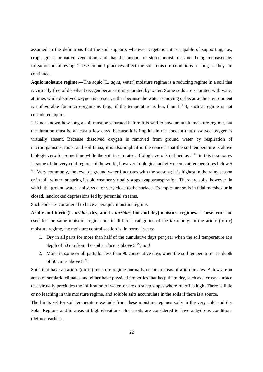assumed in the definitions that the soil supports whatever vegetation it is capable of supporting, i.e., crops, grass, or native vegetation, and that the amount of stored moisture is not being increased by irrigation or fallowing. These cultural practices affect the soil moisture conditions as long as they are continued.

**Aquic moisture regime.**—The aquic (L. *aqua*, water) moisture regime is a reducing regime in a soil that is virtually free of dissolved oxygen because it is saturated by water. Some soils are saturated with water at times while dissolved oxygen is present, either because the water is moving or because the environment is unfavorable for micro-organisms (e.g., if the temperature is less than  $1^{\circ}$ C); such a regime is not considered aquic.

It is not known how long a soil must be saturated before it is said to have an aquic moisture regime, but the duration must be at least a few days, because it is implicit in the concept that dissolved oxygen is virtually absent. Because dissolved oxygen is removed from ground water by respiration of microorganisms, roots, and soil fauna, it is also implicit in the concept that the soil temperature is above biologic zero for some time while the soil is saturated. Biologic zero is defined as  $5<sup>oC</sup>$  in this taxonomy. In some of the very cold regions of the world, however, biological activity occurs at temperatures below 5 <sup>oC</sup>. Very commonly, the level of ground water fluctuates with the seasons; it is highest in the rainy season or in fall, winter, or spring if cold weather virtually stops evapotranspiration. There are soils, however, in which the ground water is always at or very close to the surface. Examples are soils in tidal marshes or in closed, landlocked depressions fed by perennial streams.

Such soils are considered to have a peraquic moisture regime.

**Aridic and torric (L.** *aridus***, dry, and L.** *torridus***, hot and dry) moisture regimes.**—These terms are used for the same moisture regime but in different categories of the taxonomy. In the aridic (torric) moisture regime, the moisture control section is, in normal years:

- 1. Dry in all parts for more than half of the cumulative days per year when the soil temperature at a depth of 50 cm from the soil surface is above 5<sup>oC</sup>; and
- 2. Moist in some or all parts for less than 90 consecutive days when the soil temperature at a depth of 50 cm is above 8  $\mathrm{^{oc}}$ .

Soils that have an aridic (torric) moisture regime normally occur in areas of arid climates. A few are in areas of semiarid climates and either have physical properties that keep them dry, such as a crusty surface that virtually precludes the infiltration of water, or are on steep slopes where runoff is high. There is little or no leaching in this moisture regime, and soluble salts accumulate in the soils if there is a source.

The limits set for soil temperature exclude from these moisture regimes soils in the very cold and dry Polar Regions and in areas at high elevations. Such soils are considered to have anhydrous conditions (defined earlier).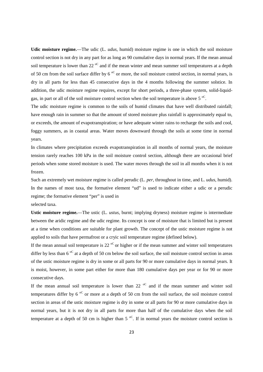**Udic moisture regime.**—The udic (L. *udus*, humid) moisture regime is one in which the soil moisture control section is not dry in any part for as long as 90 cumulative days in normal years. If the mean annual soil temperature is lower than 22 $^{\circ}$  and if the mean winter and mean summer soil temperatures at a depth of 50 cm from the soil surface differ by  $6^{oC}$  or more, the soil moisture control section, in normal years, is dry in all parts for less than 45 consecutive days in the 4 months following the summer solstice. In addition, the udic moisture regime requires, except for short periods, a three-phase system, solid-liquidgas, in part or all of the soil moisture control section when the soil temperature is above  $5^{\circ}$ .

The udic moisture regime is common to the soils of humid climates that have well distributed rainfall; have enough rain in summer so that the amount of stored moisture plus rainfall is approximately equal to, or exceeds, the amount of evapotranspiration; or have adequate winter rains to recharge the soils and cool, foggy summers, as in coastal areas. Water moves downward through the soils at some time in normal years.

In climates where precipitation exceeds evapotranspiration in all months of normal years, the moisture tension rarely reaches 100 kPa in the soil moisture control section, although there are occasional brief periods when some stored moisture is used. The water moves through the soil in all months when it is not frozen.

Such an extremely wet moisture regime is called perudic (L. *per*, throughout in time, and L. *udus*, humid). In the names of most taxa, the formative element "ud" is used to indicate either a udic or a perudic regime; the formative element "per" is used in

selected taxa.

**Ustic moisture regime.**—The ustic (L. *ustus*, burnt; implying dryness) moisture regime is intermediate between the aridic regime and the udic regime. Its concept is one of moisture that is limited but is present at a time when conditions are suitable for plant growth. The concept of the ustic moisture regime is not applied to soils that have permafrost or a cryic soil temperature regime (defined below).

If the mean annual soil temperature is 22 $^{\circ}$ C or higher or if the mean summer and winter soil temperatures differ by less than  $6^{oC}$  at a depth of 50 cm below the soil surface, the soil moisture control section in areas of the ustic moisture regime is dry in some or all parts for 90 or more cumulative days in normal years. It is moist, however, in some part either for more than 180 cumulative days per year or for 90 or more consecutive days.

If the mean annual soil temperature is lower than 22 $^{\circ}$  c and if the mean summer and winter soil temperatures differ by  $6^{oC}$  or more at a depth of 50 cm from the soil surface, the soil moisture control section in areas of the ustic moisture regime is dry in some or all parts for 90 or more cumulative days in normal years, but it is not dry in all parts for more than half of the cumulative days when the soil temperature at a depth of 50 cm is higher than  $5^{\circ}$ . If in normal years the moisture control section is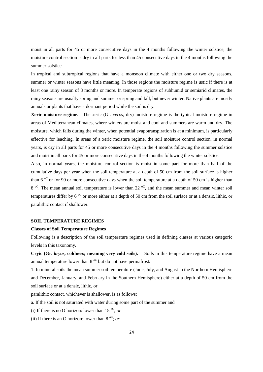moist in all parts for 45 or more consecutive days in the 4 months following the winter solstice, the moisture control section is dry in all parts for less than 45 consecutive days in the 4 months following the summer solstice.

In tropical and subtropical regions that have a monsoon climate with either one or two dry seasons, summer or winter seasons have little meaning. In those regions the moisture regime is ustic if there is at least one rainy season of 3 months or more. In temperate regions of subhumid or semiarid climates, the rainy seasons are usually spring and summer or spring and fall, but never winter. Native plants are mostly annuals or plants that have a dormant period while the soil is dry.

**Xeric moisture regime.**—The xeric (Gr. *xeros*, dry) moisture regime is the typical moisture regime in areas of Mediterranean climates, where winters are moist and cool and summers are warm and dry. The moisture, which falls during the winter, when potential evapotranspiration is at a minimum, is particularly effective for leaching. In areas of a xeric moisture regime, the soil moisture control section, in normal years, is dry in all parts for 45 or more consecutive days in the 4 months following the summer solstice and moist in all parts for 45 or more consecutive days in the 4 months following the winter solstice.

Also, in normal years, the moisture control section is moist in some part for more than half of the cumulative days per year when the soil temperature at a depth of 50 cm from the soil surface is higher than  $6^{oC}$  or for 90 or more consecutive days when the soil temperature at a depth of 50 cm is higher than  $8^{\circ}$ . The mean annual soil temperature is lower than 22 $^{\circ}$ C, and the mean summer and mean winter soil temperatures differ by  $6^{\circ}$  or more either at a depth of 50 cm from the soil surface or at a densic, lithic, or paralithic contact if shallower.

## **SOIL TEMPERATURE REGIMES**

## **Classes of Soil Temperature Regimes**

Following is a description of the soil temperature regimes used in defining classes at various categoric levels in this taxonomy.

**Cryic (Gr.** *kryos***, coldness; meaning very cold soils).**— Soils in this temperature regime have a mean annual temperature lower than  $8<sup>oC</sup>$  but do not have permafrost.

1. In mineral soils the mean summer soil temperature (June, July, and August in the Northern Hemisphere and December, January, and February in the Southern Hemisphere) either at a depth of 50 cm from the soil surface or at a densic, lithic, or

paralithic contact, whichever is shallower, is as follows:

- a. If the soil is not saturated with water during some part of the summer and
- (i) If there is no O horizon: lower than  $15<sup>°</sup>$ ; *or*
- (ii) If there is an O horizon: lower than  $8^{\circ}$  or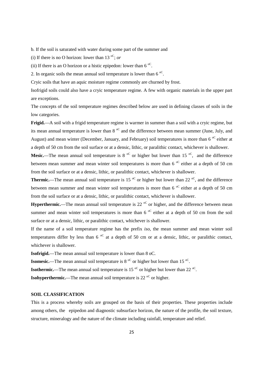b. If the soil is saturated with water during some part of the summer and

(i) If there is no O horizon: lower than 13  $\mathrm{^{oC}}$ ; *or* 

(ii) If there is an O horizon or a histic epipedon: lower than  $6^{\circ}$ .

2. In organic soils the mean annual soil temperature is lower than  $6^{\circ}$ .

Cryic soils that have an aquic moisture regime commonly are churned by frost.

Isofrigid soils could also have a cryic temperature regime. A few with organic materials in the upper part are exceptions.

The concepts of the soil temperature regimes described below are used in defining classes of soils in the low categories.

**Frigid.**—A soil with a frigid temperature regime is warmer in summer than a soil with a cryic regime, but its mean annual temperature is lower than 8 $^{oC}$  and the difference between mean summer (June, July, and August) and mean winter (December, January, and February) soil temperatures is more than 6 $\mathrm{^{oc}}$  either at a depth of 50 cm from the soil surface or at a densic, lithic, or paralithic contact, whichever is shallower.

**Mesic.**—The mean annual soil temperature is 8<sup>oC</sup> or higher but lower than 15<sup>oC</sup>, and the difference between mean summer and mean winter soil temperatures is more than  $6^{oC}$  either at a depth of 50 cm from the soil surface or at a densic, lithic, or paralithic contact, whichever is shallower.

**Thermic.**—The mean annual soil temperature is 15<sup>oC</sup> or higher but lower than 22<sup>oC</sup>, and the difference between mean summer and mean winter soil temperatures is more than  $6^{oC}$  either at a depth of 50 cm from the soil surface or at a densic, lithic, or paralithic contact, whichever is shallower.

**Hyperthermic.**—The mean annual soil temperature is 22<sup> $\degree$ </sup> or higher, and the difference between mean summer and mean winter soil temperatures is more than  $6<sup>o</sup>C$  either at a depth of 50 cm from the soil surface or at a densic, lithic, or paralithic contact, whichever is shallower.

If the name of a soil temperature regime has the prefix *iso*, the mean summer and mean winter soil temperatures differ by less than 6  $^{\circ}$  at a depth of 50 cm or at a densic, lithic, or paralithic contact, whichever is shallower.

**Isofrigid.**—The mean annual soil temperature is lower than 8 oC.

**Isomesic.**—The mean annual soil temperature is  $8^{\circ\text{C}}$  or higher but lower than 15<sup> $\circ\text{C}$ </sup>.

**Isothermic.**—The mean annual soil temperature is 15<sup>oC</sup> or higher but lower than 22<sup>oC</sup>.

**Isohyperthermic.**—The mean annual soil temperature is 22 $\degree$ °C or higher.

## **SOIL CLASSIFICATION**

This is a process whereby soils are grouped on the basis of their properties. These properties include among others, the epipedon and diagnostic subsurface horizon, the nature of the profile, the soil texture, structure, mineralogy and the nature of the climate including rainfall, temperature and relief.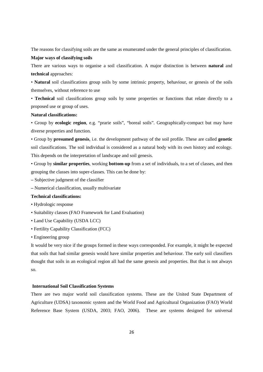The reasons for classifying soils are the same as enumerated under the general principles of classification.

## **Major ways of classifying soils**

There are various ways to organise a soil classification. A major distinction is between **natural** and **technical** approaches:

*•* **Natural** soil classifications group soils by some intrinsic property, behaviour, or genesis of the soils themselves, without reference to use

*•* **Technical** soil classifications group soils by some properties or functions that relate directly to a proposed use or group of uses.

## **Natural classifications:**

*•* Group by **ecologic region**, e.g. "prarie soils", "boreal soils". Geographically-compact but may have diverse properties and function.

*•* Group by **presumed genesis**, i.e. the development pathway of the soil profile. These are called **genetic**  soil classifications. The soil individual is considered as a natural body with its own history and ecology. This depends on the interpretation of landscape and soil genesis.

*•* Group by **similar properties**, working **bottom-up** from a set of individuals, to a set of classes, and then grouping the classes into super-classes. This can be done by:

**–** Subjective judgment of the classifier

**–** Numerical classification, usually multivariate

## **Technical classifications:**

- Hydrologic response
- Suitability classes (FAO Framework for Land Evaluation)
- Land Use Capability (USDA LCC)
- Fertility Capability Classification (FCC)
- Engineering group

It would be very nice if the groups formed in these ways corresponded. For example, it might be expected that soils that had similar genesis would have similar properties and behaviour. The early soil classifiers thought that soils in an ecological region all had the same genesis and properties. But that is not always so.

## **International Soil Classification Systems**

There are two major world soil classification systems. These are the United State Department of Agriculture (UDSA) taxonomic system and the World Food and Agricultural Organization (FAO) World Reference Base System (USDA, 2003; FAO, 2006). These are systems designed for universal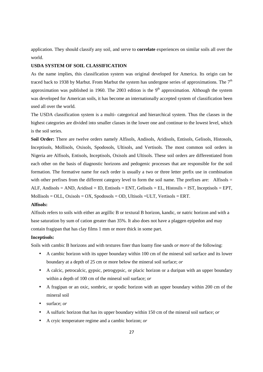application. They should classify any soil, and serve to **correlate** experiences on similar soils all over the world.

## **USDA SYSTEM OF SOIL CLASSIFICATION**

As the name implies, this classification system was original developed for America. Its origin can be traced back to 1938 by Marbut. From Marbut the system has undergone series of approximations. The  $7<sup>th</sup>$ approximation was published in 1960. The 2003 edition is the 9<sup>th</sup> approximation. Although the system was developed for American soils, it has become an internationally accepted system of classification been used all over the world.

The USDA classification system is a multi- categorical and hierarchical system. Thus the classes in the highest categories are divided into smaller classes in the lower one and continue to the lowest level, which is the soil series.

**Soil Order:** There are twelve orders namely Alfisols, Andisols, Aridisols, Entisols, Gelisols, Histosols, Inceptisols, Mollisols, Oxisols, Spodosols, Ultisols, and Vertisols. The most common soil orders in Nigeria are Alfisols, Entisols, Inceptisols, Oxisols and Ultisols. These soil orders are differentiated from each other on the basis of diagnostic horizons and pedogenic processes that are responsible for the soil formation. The formative name for each order is usually a two or three letter prefix use in combination with other prefixes from the different category level to form the soil name. The prefixes are: Alfisols  $=$ ALF, Andisols = AND, Aridisol = ID, Entisols = ENT, Gelisols = EL, Histosils = IST, Inceptisols = EPT,  $Mollisols = OLL$ ,  $Oxisols = OX$ ,  $Spodosols = OD$ , Ultisols  $=ULT$ , Vertisols  $= ERT$ .

## **Alfisols:**

Alfisols refers to soils with either an argillic B or textural B horizon, kandic, or natric horizon and with a base saturation by sum of cation greater than 35%. It also does not have a plaggen epipedon and may contain fragipan that has clay films 1 mm or more thick in some part.

#### **Inceptisols:**

Soils with cambic B horizons and with textures finer than loamy fine sands *or more* of the following:

- A cambic horizon with its upper boundary within 100 cm of the mineral soil surface and its lower boundary at a depth of 25 cm or more below the mineral soil surface; *or*
- A calcic, petrocalcic, gypsic, petrogypsic, or placic horizon or a duripan with an upper boundary within a depth of 100 cm of the mineral soil surface; *or*
- A fragipan or an oxic, sombric, or spodic horizon with an upper boundary within 200 cm of the mineral soil
- surface; *or*
- A sulfuric horizon that has its upper boundary within 150 cm of the mineral soil surface; *or*
- A cryic temperature regime and a cambic horizon; *or*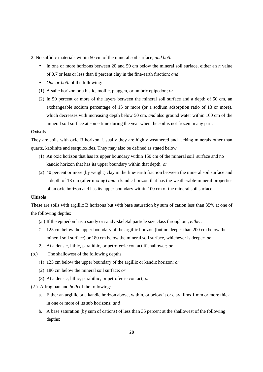2. No sulfidic materials within 50 cm of the mineral soil surface; *and both*:

- In one or more horizons between 20 and 50 cm below the mineral soil surface, either an *n* value of 0.7 or less or less than 8 percent clay in the fine-earth fraction; *and*
- *One or both* of the following:
- (1) A salic horizon or a histic, mollic, plaggen, or umbric epipedon; *or*
- (2) In 50 percent or more of the layers between the mineral soil surface and a depth of 50 cm, an exchangeable sodium percentage of 15 or more (or a sodium adsorption ratio of 13 or more), which decreases with increasing depth below 50 cm, *and* also ground water within 100 cm of the mineral soil surface at some time during the year when the soil is not frozen in any part.

## **Oxisols**

They are soils with oxic B horizon. Usually they are highly weathered and lacking minerals other than quartz, kaolinite and sesquioxides. They may also be defined as stated below

- (1) An oxic horizon that has its upper boundary within 150 cm of the mineral soil surface and no kandic horizon that has its upper boundary within that depth; *or*
- (2) 40 percent or more (by weight) clay in the fine-earth fraction between the mineral soil surface and a depth of 18 cm (after mixing) *and* a kandic horizon that has the weatherable-mineral properties of an oxic horizon and has its upper boundary within 100 cm of the mineral soil surface.

## **Ultisols**

These are soils with argillic B horizons but with base saturation by sum of cation less than 35% at one of the following depths:

- (a.) If the epipedon has a sandy or sandy-skeletal particle size class throughout, *either*:
- *1.* 125 cm below the upper boundary of the argillic horizon (but no deeper than 200 cm below the mineral soil surface) or 180 cm below the mineral soil surface, whichever is deeper; *or*
- *2.* At a densic, lithic, paralithic, or petroferric contact if shallower; *or*
- (b.) The shallowest of the following depths:
	- (1) 125 cm below the upper boundary of the argillic or kandic horizon; *or*
	- (2) 180 cm below the mineral soil surface; *or*
	- (3) At a densic, lithic, paralithic, or petroferric contact; *or*
- (2.) A fragipan and *both* of the following:
	- a. Either an argillic or a kandic horizon above, within, or below it or clay films 1 mm or more thick in one or more of its sub horizons; *and*
	- b. A base saturation (by sum of cations) of less than 35 percent at the shallowest of the following depths: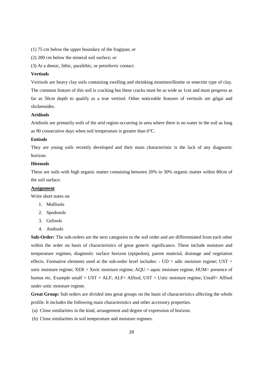(1) 75 cm below the upper boundary of the fragipan; *or* 

(2) 200 cm below the mineral soil surface; *or* 

(3) At a densic, lithic, paralithic, or petroferric contact.

## **Vertisols**

Vertisols are heavy clay soils containing swelling and shrinking montmorillonite or smectite type of clay. The common feature of this soil is cracking but these cracks must be as wide as 1cm and must progress as far as 50cm depth to qualify as a true vertisol. Other noticeable features of vertisols are gilgai and slickensides.

## **Aridisols**

Aridisols are primarily soils of the arid region occurring in area where there is no water in the soil as long as 90 consecutive days when soil temperature is greater than 6°C.

## **Entisols**

They are young soils recently developed and their main characteristic is the lack of any diagnostic horizon.

## **Histosols**

These are soils with high organic matter containing between 20% to 30% organic matter within 80cm of the soil surface.

#### **Assignment**

Write short notes on

- 1. Mollisols
- 2. Spodosols
- 3. Gelisols
- 4. Andisols

**Sub-Order:** The sub-orders are the next categories to the soil order and are differentiated from each other within the order on basis of characteristics of great generic significance. These include moisture and temperature regimes, diagnostic surface horizon (epipedon), parent material, drainage and vegetation effects. Formative elements used at the sub-order level includes:  $-$  UD = udic moisture regime; UST = ustic moisture regime;  $XER = X$ eric moisture regime;  $AQU =$  aquic moisture regime,  $HUM =$  presence of humus etc. Example ustalf =  $UST + ALF$ ;  $ALF= Alfisol$ , UST = Ustic moisture regime; Ustalf= Alfisol under ustic moisture regime.

**Great Group:** Sub orders are divided into great groups on the basis of characteristics affecting the whole profile. It includes the following main characteristics and other accessory properties.

- (a) Close similarities in the kind, arrangement and degree of expression of horizon.
- (b) Close similarities in soil temperature and moisture regimes.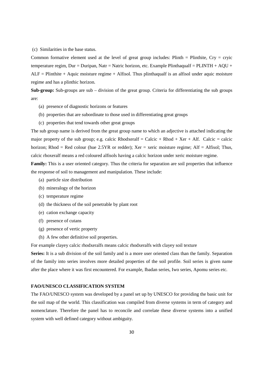(c) Similarities in the base status.

Common formative element used at the level of great group includes: Plinth = Plinthite,  $Cry = cryic$ temperature regim, Dur = Duripan, Natr = Natric horizon, etc. Example Plinthaqualf = PLINTH + AQU +  $ALF =$  Plinthite + Aquic moisture regime + Alfisol. Thus plinthaqualf is an alfisol under aquic moisture regime and has a plinthic horizon.

**Sub-group:** Sub-groups are sub – division of the great group. Criteria for differentiating the sub groups are:

- (a) presence of diagnostic horizons or features
- (b) properties that are subordinate to those used in differentiating great groups
- (c) properties that tend towards other great groups

The sub group name is derived from the great group name to which an adjective is attached indicating the major property of the sub group; e.g. calcic Rhodxeralf = Calcic + Rhod + Xer + Alf. Calcic = calcic horizon; Rhod = Red colour (hue  $2.5YR$  or redder); Xer = xeric moisture regime; Alf = Alfisol; Thus, calcic rhoxeralf means a red coloured alfisols having a calcic horizon under xeric moisture regime.

**Family:** This is a user oriented category. Thus the criteria for separation are soil properties that influence the response of soil to management and manipulation. These include:

- (a) particle size distribution
- (b) mineralogy of the horizon
- (c) temperature regime
- (d) the thickness of the soil penetrable by plant root
- (e) cation exchange capacity
- (f) presence of cutans
- (g) presence of vertic property
- (h) A few other definitive soil properties.

For example clayey calcic rhodxeralfs means calcic rhodxeralfs with clayey soil texture

Series: It is a sub division of the soil family and is a more user oriented class than the family. Separation of the family into series involves more detailed properties of the soil profile. Soil series is given name after the place where it was first encountered. For example, Ibadan series, Iwo series, Apomu series etc.

## **FAO/UNESCO CLASSIFICATION SYSTEM**

The FAO/UNESCO system was developed by a panel set up by UNESCO for providing the basic unit for the soil map of the world. This classification was compiled from diverse systems in term of category and nomenclature. Therefore the panel has to reconcile and correlate these diverse systems into a unified system with well defined category without ambiguity.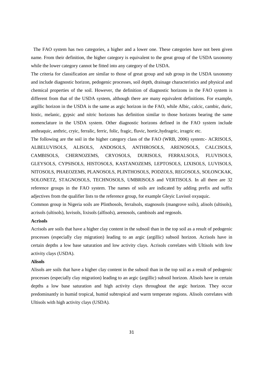The FAO system has two categories, a higher and a lower one. These categories have not been given name. From their definition, the higher category is equivalent to the great group of the USDA taxonomy while the lower category cannot be fitted into any category of the USDA.

The criteria for classification are similar to those of great group and sub group in the USDA taxonomy and include diagnostic horizon, pedogenic processes, soil depth, drainage characteristics and physical and chemical properties of the soil. However, the definition of diagnostic horizons in the FAO system is different from that of the USDA system, although there are many equivalent definitions. For example, argillic horizon in the USDA is the same as argic horizon in the FAO, while Albic, calcic, cambic, duric, histic, melanic, gypsic and nitric horizons has definition similar to those horizons bearing the same nomenclature in the USDA system. Other diagnostic horizons defined in the FAO system include anthraquic, anthric, cryic, ferralic, ferric, folic, fragic, fluvic, hortic,hydragric, irragric etc.

The following are the soil in the higher category class of the FAO (WRB, 2006) system:- ACRISOLS, ALBELUVISOLS, ALISOLS, ANDOSOLS, ANTHROSOLS, ARENOSOLS, CALCISOLS, CAMBISOLS, CHERNOZEMS, CRYOSOLS, DURISOLS, FERRALSOLS, FLUVISOLS, GLEYSOLS, CYPSISOLS, HISTOSOLS, KASTANOZEMS, LEPTOSOLS, LIXISOLS, LUVISOLS, NITOSOLS, PHAEOZEMS, PLANOSOLS, PLINTHOSOLS, PODZOLS, REGOSOLS, SOLONCKAK, SOLONETZ, STAGNOSOLS, TECHNOSOLS, UMBRISOLS and VERTISOLS. In all there are 32 reference groups in the FAO system. The names of soils are indicated by adding prefix and suffix adjectives from the qualifier lists to the reference group, for example Gleyic Luvisol oxyaquic.

Common group in Nigeria soils are Plinthosols, ferralsols, stagnosols (mangrove soils), alisols (ultisols), acrisols (ultisols), luvisols, lixisols (alfisols), arenosols, cambisols and regosols.

## **Acrisols**

Acrisols are soils that have a higher clay content in the subsoil than in the top soil as a result of pedogenic processes (especially clay migration) leading to an argic (argillic) subsoil horizon. Acrisols have in certain depths a low base saturation and low activity clays. Acrisols correlates with Ultisols with low activity clays (USDA).

## **Alisols**

Alisols are soils that have a higher clay content in the subsoil than in the top soil as a result of pedogenic processes (especially clay migration) leading to an argic (argillic) subsoil horizon. Alisols have in certain depths a low base saturation and high activity clays throughout the argic horizon. They occur predominantly in humid tropical, humid subtropical and warm temperate regions. Alisols correlates with Ultisols with high activity clays (USDA).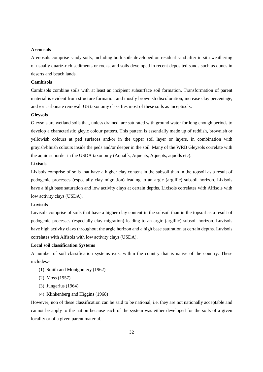#### **Arenosols**

Arenosols comprise sandy soils, including both soils developed on residual sand after in situ weathering of usually quartz-rich sediments or rocks, and soils developed in recent deposited sands such as dunes in deserts and beach lands.

## **Cambisols**

Cambisols combine soils with at least an incipient subsurface soil formation. Transformation of parent material is evident from structure formation and mostly brownish discoloration, increase clay percentage, and /or carbonate removal. US taxonomy classifies most of these soils as Inceptisols.

## **Gleysols**

Gleysols are wetland soils that, unless drained, are saturated with ground water for long enough periods to develop a characteristic gleyic colour pattern. This pattern is essentially made up of reddish, brownish or yellowish colours at ped surfaces and/or in the upper soil layer or layers, in combination with grayish/bluish colours inside the peds and/or deeper in the soil. Many of the WRB Gleysols correlate with the aquic suborder in the USDA taxonomy (Aqualfs, Aquents, Aquepts, aquolls etc).

## **Lixisols**

Lixisols comprise of soils that have a higher clay content in the subsoil than in the topsoil as a result of pedogenic processes (especially clay migration) leading to an argic (argillic) subsoil horizon. Lixisols have a high base saturation and low activity clays at certain depths. Lixisols correlates with Alfisols with low activity clays (USDA).

#### **Luvisols**

Luvisols comprise of soils that have a higher clay content in the subsoil than in the topsoil as a result of pedogenic processes (especially clay migration) leading to an argic (argillic) subsoil horizon. Luvisols have high activity clays throughout the argic horizon and a high base saturation at certain depths. Luvisols correlates with Alfisols with low activity clays (USDA).

#### **Local soil classification Systems**

A number of soil classification systems exist within the country that is native of the country. These includes:-

- (1) Smith and Montgomery (1962)
- (2) Moss (1957)
- (3) Jungerius (1964)
- (4) Klinkenberg and Higgins (1968)

However, non of these classification can be said to be national, i.e. they are not nationally acceptable and cannot be apply to the nation because each of the system was either developed for the soils of a given locality or of a given parent material.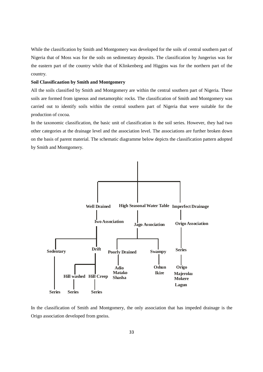While the classification by Smith and Montgomery was developed for the soils of central southern part of Nigeria that of Moss was for the soils on sedimentary deposits. The classification by Jungerius was for the eastern part of the country while that of Klinkenberg and Higgins was for the northern part of the country.

## **Soil Classificaation by Smith and Montgomery**

All the soils classified by Smith and Montgomery are within the central southern part of Nigeria. These soils are formed from igneous and metamorphic rocks. The classification of Smith and Montgomery was carried out to identify soils within the central southern part of Nigeria that were suitable for the production of cocoa.

In the taxonomic classification, the basic unit of classification is the soil series. However, they had two other categories at the drainage level and the association level. The associations are further broken down on the basis of parent material. The schematic diagramme below depicts the classification pattern adopted by Smith and Montgomery.



In the classification of Smith and Montgomery, the only association that has impeded drainage is the Origo association developed from gneiss.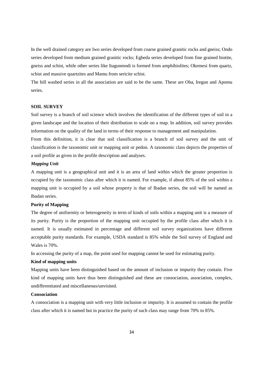In the well drained category are Iwo series developed from coarse grained granitic rocks and gneiss; Ondo series developed from medium grained granitic rocks; Egbeda series developed from fine grained biotite, gneiss and schist, while other series like Itagunmodi is formed from amphibiolites; Okemesi from quartz, schist and massive quartzites and Mamu from sericite schist.

The hill washed series in all the association are said to be the same. These are Oba, Iregun and Apomu series.

### **SOIL SURVEY**

Soil survey is a branch of soil science which involves the identification of the different types of soil in a given landscape and the location of their distribution to scale on a map. In addition, soil survey provides information on the quality of the land in terms of their response to management and manipulation.

From this definition, it is clear that soil classification is a branch of soil survey and the unit of classification is the taxonomic unit or mapping unit or pedon. A taxonomic class depicts the properties of a soil profile as given in the profile description and analyses.

## *Mapping Unit*

A mapping unit is a geographical unit and it is an area of land within which the greater proportion is occupied by the taxonomic class after which it is named. For example, if about 85% of the soil within a mapping unit is occupied by a soil whose property is that of Ibadan series, the soil will be named as Ibadan series.

## **Purity of Mapping**

The degree of uniformity or heterogeneity in term of kinds of soils within a mapping unit is a measure of its purity. Purity is the proportion of the mapping unit occupied by the profile class after which it is named. It is usually estimated in percentage and different soil survey organizations have different acceptable purity standards. For example, USDA standard is 85% while the Soil survey of England and Wales is 70%.

In accessing the purity of a map, the point used for mapping cannot be used for estimating purity.

## **Kind of mapping units**

Mapping units have been distinguished based on the amount of inclusion or impurity they contain. Five kind of mapping units have thus been distinguished and these are consociation, association, complex, undifferentiated and miscellaneous/unvisited.

## **Consociation**

A consociation is a mapping unit with very little inclusion or impurity. It is assumed to contain the profile class after which it is named but in practice the purity of such class may range from 70% to 85%.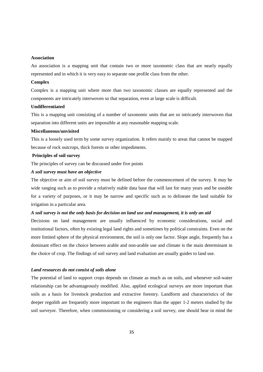## **Association**

An association is a mapping unit that contain two or more taxonomic class that are nearly equally represented and in which it is very easy to separate one profile class from the other.

## **Complex**

Complex is a mapping unit where more than two taxonomic classes are equally represented and the components are intricately interwoven so that separation, even at large scale is difficult.

## **Undifferentiated**

This is a mapping unit consisting of a number of taxonomic units that are so intricately interwoven that separation into different units are impossible at any reasonable mapping scale.

## **Miscellaneous/unvisited**

This is a loosely used term by some survey organization. It refers mainly to areas that cannot be mapped because of rock outcrops, thick forests or other impediments.

## **Principles of soil survey**

The principles of survey can be discussed under five points

## *A soil survey must have an objective*

The objective or aim of soil survey must be defined before the commencement of the survey. It may be wide ranging such as to provide a relatively stable data base that will last for many years and be useable for a variety of purposes, or it may be narrow and specific such as to delineate the land suitable for irrigation in a particular area.

## *A soil survey is not the only basis for decision on land use and management, it is only an aid*

Decisions on land management are usually influenced by economic considerations, social and institutional factors, often by existing legal land rights and sometimes by political constraints. Even on the more limited sphere of the physical environment, the soil is only one factor. Slope angle, frequently has a dominant effect on the choice between arable and non-arable use and climate is the main determinant in the choice of crop. The findings of soil survey and land evaluation are usually guides to land use.

## *Land resources do not consist of soils alone*

The potential of land to support crops depends on climate as much as on soils, and whenever soil-water relationship can be advantageously modified. Also, applied ecological surveys are more important than soils as a basis for livestock production and extractive forestry. Landform and characteristics of the deeper regolith are frequently more important to the engineers than the upper 1-2 meters studied by the soil surveyor. Therefore, when commissioning or considering a soil survey, one should bear in mind the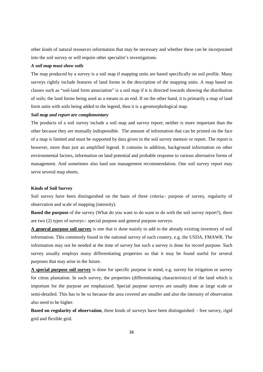other kinds of natural resources information that may be necessary and whether these can be incorporated into the soil survey or will require other specialist's investigations.

## *A soil map must show soils*

The map produced by a survey is a soil map if mapping units are based specifically on soil profile. Many surveys rightly include features of land forms in the description of the mapping units. A map based on classes such as "soil-land form association" is a soil map if it is directed towards showing the distribution of soils; the land forms being used as a means to an end. If on the other hand, it is primarily a map of land form units with soils being added to the legend, then it is a geomorphological map.

## *Soil map and report are complementary*

The products of a soil survey include a soil map and survey report; neither is more important than the other because they are mutually indispensible. The amount of information that can be printed on the face of a map is limited and must be supported by data given in the soil survey memoir or report. The report is however, more than just an amplified legend. It contains in addition, background information on other environmental factors, information on land potential and probable response to various alternative forms of management. And sometimes also land use management recommendation. One soil survey report may serve several map sheets.

## **Kinds of Soil Survey**

Soil survey have been distinguished on the basis of three criteria:- purpose of survey, regularity of observation and scale of mapping (intensity).

**Based the purpose** of the survey (What do you want to do want to do with the soil survey report?), there are two (2) types of surveys:- special purpose and general purpose surveys.

**A general purpose soil survey** is one that is done mainly to add to the already existing inventory of soil information. This commonly found in the national survey of each country, e.g. the USDA, FMAWR. The information may not be needed at the time of survey but such a survey is done for record purpose. Such survey usually employs many differentiating properties so that it may be found useful for several purposes that may arise in the future.

**A special purpose soil survey** is done for specific purpose in mind, e.g. survey for irrigation or survey for citrus plantation. In such survey, the properties (differentiating characteristics) of the land which is important for the purpose are emphasized. Special purpose surveys are usually done at large scale or semi-detailed. This has to be so because the area covered are smaller and also the intensity of observation also need to be higher.

**Based on regularity of observation**, three kinds of surveys have been distinguished: - free survey, rigid grid and flexible grid.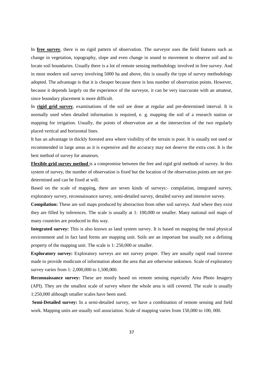In **free survey**, there is no rigid pattern of observation. The surveyor uses the field features such as change in vegetation, topography, slope and even change in sound to movement to observe soil and to locate soil boundaries. Usually there is a lot of remote sensing methodology involved in free survey. And in most modern soil survey involving 5000 ha and above, this is usually the type of survey methodology adopted. The advantage is that it is cheaper because there is less number of observation points. However, because it depends largely on the experience of the surveyor, it can be very inaccurate with an amateur, since boundary placement is more difficult.

In **rigid grid survey**, examinations of the soil are done at regular and pre-determined interval. It is normally used when detailed information is required, e. g. mapping the soil of a research station or mapping for irrigation. Usually, the points of observation are at the intersection of the two regularly placed vertical and horizontal lines.

It has an advantage in thickly forested area where visibility of the terrain is poor. It is usually not used or recommended in large areas as it is expensive and the accuracy may not deserve the extra cost. It is the best method of survey for amateurs.

**Flexible grid survey method** is a compromise between the free and rigid grid methods of survey. In this system of survey, the number of observation is fixed but the location of the observation points are not predetermined and can be fixed at will.

Based on the scale of mapping, there are seven kinds of surveys:- compilation, integrated survey, exploratory survey, reconnaissance survey, semi-detailed survey, detailed survey and intensive survey.

**Compilation:** These are soil maps produced by abstraction from other soil surveys. And where they exist they are filled by inferences. The scale is usually at 1: 100,000 or smaller. Many national soil maps of many countries are produced in this way.

**Integrated survey:** This is also known as land system survey. It is based on mapping the total physical environment and in fact land forms are mapping unit. Soils are an important but usually not a defining property of the mapping unit. The scale is 1: 250,000 or smaller.

**Exploratory survey:** Exploratory surveys are not survey proper. They are usually rapid road traverse made to provide modicum of information about the area that are otherwise unknown. Scale of exploratory survey varies from 1: 2,000,000 to 1,500,000.

**Reconnaissance survey:** These are mostly based on remote sensing especially Area Photo Imagery (API). They are the smallest scale of survey where the whole area is still covered. The scale is usually 1:250,000 although smaller scales have been used.

**Semi-Detailed survey:** In a semi-detailed survey, we have a combination of remote sensing and field work. Mapping units are usually soil association. Scale of mapping varies from 150,000 to 100, 000.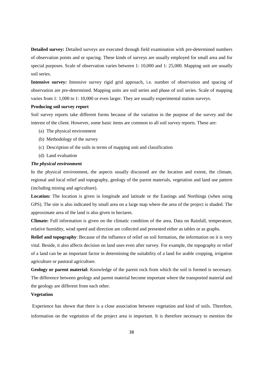**Detailed survey:** Detailed surveys are executed through field examination with pre-determined numbers of observation points and or spacing. These kinds of surveys are usually employed for small area and for special purposes. Scale of observation varies between 1: 10,000 and 1: 25,000. Mapping unit are usually soil series.

**Intensive survey:** Intensive survey rigid grid approach, i.e. number of observation and spacing of observation are pre-determined. Mapping units are soil series and phase of soil series. Scale of mapping varies from 1: 1,000 to 1: 10,000 or even larger. They are usually experimental station surveys.

## **Producing soil survey report**

Soil survey reports take different forms because of the variation in the purpose of the survey and the interest of the client. However, some basic items are common to all soil survey reports. These are:

- (a) The physical environment
- (b) Methodology of the survey
- (c) Description of the soils in terms of mapping unit and classification
- (d) Land evaluation

## *The physical environment*

In the physical environment, the aspects usually discussed are the location and extent, the climate, regional and local relief and topography, geology of the parent materials, vegetation and land use pattern (including mining and agriculture).

**Location:** The location is given in longitude and latitude or the Eastings and Northings (when using GPS). The site is also indicated by small area on a large map where the area of the project is shaded. The approximate area of the land is also given in hectares.

**Climate:** Full information is given on the climatic condition of the area. Data on Rainfall, temperature, relative humidity, wind speed and direction are collected and presented either as tables or as graphs.

**Relief and topography**: Because of the influence of relief on soil formation, the information on it is very vital. Beside, it also affects decision on land uses even after survey. For example, the topography or relief of a land can be an important factor in determining the suitability of a land for arable cropping, irrigation agriculture or pastoral agriculture.

**Geology or parent material:** Knowledge of the parent rock from which the soil is formed is necessary. The difference between geology and parent material become important where the transported material and the geology are different from each other.

## **Vegetation**

 Experience has shown that there is a close association between vegetation and kind of soils. Therefore, information on the vegetation of the project area is important. It is therefore necessary to mention the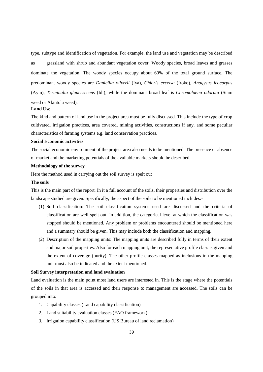type, subtype and identification of vegetation. For example, the land use and vegetation may be described as grassland with shrub and abundant vegetation cover. Woody species, broad leaves and grasses dominate the vegetation. The woody species occupy about 60% of the total ground surface. The predominant woody species are *Daniellia oliverii* (Iya), *Chloris excelsa* (Iroko), *Anogysus leocarpus*  (Ayin)*, Terminalia glaucesccens* (Idi); while the dominant broad leaf is *Chromolaena odorata* (Siam

#### weed or Akintola weed).

## **Land Use**

The kind and pattern of land use in the project area must be fully discussed. This include the type of crop cultivated, irrigation practices, area covered, mining activities, constructions if any, and some peculiar characteristics of farming systems e.g. land conservation practices.

## **Social Economic activities**

The social economic environment of the project area also needs to be mentioned. The presence or absence of market and the marketing potentials of the available markets should be described.

## **Methodology of the survey**

Here the method used in carrying out the soil survey is spelt out

## **The soils**

This is the main part of the report. In it a full account of the soils, their properties and distribution over the landscape studied are given. Specifically, the aspect of the soils to be mentioned includes:-

- (1) Soil classification: The soil classification systems used are discussed and the criteria of classification are well spelt out. In addition, the categorical level at which the classification was stopped should be mentioned. Any problem or problems encountered should be mentioned here and a summary should be given. This may include both the classification and mapping.
- (2) Description of the mapping units: The mapping units are described fully in terms of their extent and major soil properties. Also for each mapping unit, the representative profile class is given and the extent of coverage (purity). The other profile classes mapped as inclusions in the mapping unit must also be indicated and the extent mentioned.

## **Soil Survey interpretation and land evaluation**

Land evaluation is the main point most land users are interested in. This is the stage where the potentials of the soils in that area is accessed and their response to management are accessed. The soils can be grouped into:

- 1. Capability classes (Land capability classification)
- 2. Land suitability evaluation classes (FAO framework)
- 3. Irrigation capability classification (US Bureau of land reclamation)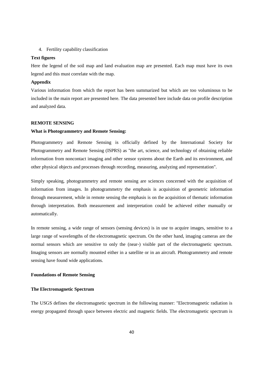#### 4. Fertility capability classification

## **Text figures**

Here the legend of the soil map and land evaluation map are presented. Each map must have its own legend and this must correlate with the map.

## **Appendix**

Various information from which the report has been summarized but which are too voluminous to be included in the main report are presented here. The data presented here include data on profile description and analyzed data.

## **REMOTE SENSING**

## **What is Photogrammetry and Remote Sensing:**

Photogrammetry and Remote Sensing is officially defined by the International Society for Photogrammetry and Remote Sensing (ISPRS) as "the art, science, and technology of obtaining reliable information from noncontact imaging and other sensor systems about the Earth and its environment, and other physical objects and processes through recording, measuring, analyzing and representation".

Simply speaking, photogrammetry and remote sensing are sciences concerned with the acquisition of information from images. In photogrammetry the emphasis is acquisition of geometric information through measurement, while in remote sensing the emphasis is on the acquisition of thematic information through interpretation. Both measurement and interpretation could be achieved either manually or automatically.

In remote sensing, a wide range of sensors (sensing devices) is in use to acquire images, sensitive to a large range of wavelengths of the electromagnetic spectrum. On the other hand, imaging cameras are the normal sensors which are sensitive to only the (near-) visible part of the electromagnetic spectrum. Imaging sensors are normally mounted either in a satellite or in an aircraft. Photogrammetry and remote sensing have found wide applications.

## **Foundations of Remote Sensing**

## **The Electromagnetic Spectrum**

The USGS defines the electromagnetic spectrum in the following manner: "Electromagnetic radiation is energy propagated through space between electric and magnetic fields. The electromagnetic spectrum is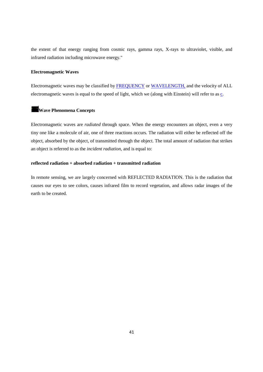the extent of that energy ranging from cosmic rays, gamma rays, X-rays to ultraviolet, visible, and infrared radiation including microwave energy."

## **Electromagnetic Waves**

Electromagnetic waves may be classified by FREQUENCY or WAVELENGTH, and the velocity of ALL electromagnetic waves is equal to the speed of light, which we (along with Einstein) will refer to as  $c$ .

## **Wave Phenomena Concepts**

Electromagnetic waves are *radiated* through space. When the energy encounters an object, even a very tiny one like a molecule of air, one of three reactions occurs. The radiation will either be reflected off the object, absorbed by the object, of transmitted through the object. The total amount of radiation that strikes an object is referred to as the *incident radiation*, and is equal to:

## **reflected radiation + absorbed radiation + transmitted radiation**

In remote sensing, we are largely concerned with REFLECTED RADIATION. This is the radiation that causes our eyes to see colors, causes infrared film to record vegetation, and allows radar images of the earth to be created.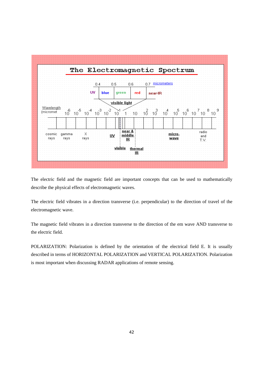

The electric field and the magnetic field are important concepts that can be used to mathematically describe the physical effects of electromagnetic waves.

The electric field vibrates in a direction transverse (i.e. perpendicular) to the direction of travel of the electromagnetic wave.

The magnetic field vibrates in a direction transverse to the direction of the em wave AND transverse to the electric field.

POLARIZATION: Polarization is defined by the orientation of the electrical field E. It is usually described in terms of HORIZONTAL POLARIZATION and VERTICAL POLARIZATION. Polarization is most important when discussing RADAR applications of remote sensing.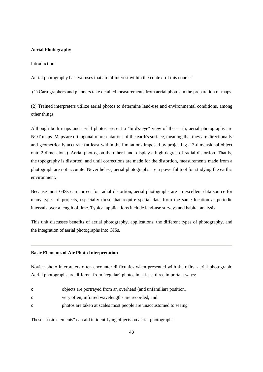#### **Aerial Photography**

## Introduction

Aerial photography has two uses that are of interest within the context of this course:

(1) Cartographers and planners take detailed measurements from aerial photos in the preparation of maps.

(2) Trained interpreters utilize aerial photos to determine land-use and environmental conditions, among other things.

Although both maps and aerial photos present a "bird's-eye" view of the earth, aerial photographs are NOT maps. Maps are orthogonal representations of the earth's surface, meaning that they are directionally and geometrically accurate (at least within the limitations imposed by projecting a 3-dimensional object onto 2 dimensions). Aerial photos, on the other hand, display a high degree of radial distortion. That is, the topography is distorted, and until corrections are made for the distortion, measurements made from a photograph are not accurate. Nevertheless, aerial photographs are a powerful tool for studying the earth's environment.

Because most GISs can correct for radial distortion, aerial photographs are an excellent data source for many types of projects, especially those that require spatial data from the same location at periodic intervals over a length of time. Typical applications include land-use surveys and habitat analysis.

This unit discusses benefits of aerial photography, applications, the different types of photography, and the integration of aerial photographs into GISs.

#### **Basic Elements of Air Photo Interpretation**

Novice photo interpreters often encounter difficulties when presented with their first aerial photograph. Aerial photographs are different from "regular" photos in at least three important ways:

- o objects are portrayed from an overhead (and unfamiliar) position.
- o very often, infrared wavelengths are recorded, and
- o photos are taken at scales most people are unaccustomed to seeing

These "basic elements" can aid in identifying objects on aerial photographs.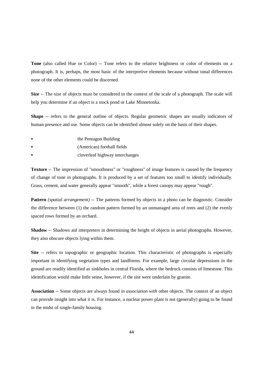**Tone** (also called Hue or Color) -- Tone refers to the relative brightness or color of elements on a photograph. It is, perhaps, the most basic of the interpretive elements because without tonal differences none of the other elements could be discerned.

**Size** -- The size of objects must be considered in the context of the scale of a photograph. The scale will help you determine if an object is a stock pond or Lake Minnetonka.

**Shape** -- refers to the general outline of objects. Regular geometric shapes are usually indicators of human presence and use. Some objects can be identified almost solely on the basis of their shapes.

- the Pentagon Building
- (American) football fields
- cloverleaf highway interchanges

**Texture** -- The impression of "smoothness" or "roughness" of image features is caused by the frequency of change of tone in photographs. It is produced by a set of features too small to identify individually. Grass, cement, and water generally appear "smooth", while a forest canopy may appear "rough".

**Pattern** *(spatial arrangement)* -- The patterns formed by objects in a photo can be diagnostic. Consider the difference between (1) the random pattern formed by an unmanaged area of trees and (2) the evenly spaced rows formed by an orchard.

**Shadow** -- Shadows aid interpreters in determining the height of objects in aerial photographs. However, they also obscure objects lying within them.

**Site** -- refers to topographic or geographic location. This characteristic of photographs is especially important in identifying vegetation types and landforms. For example, large circular depressions in the ground are readily identified as sinkholes in central Florida, where the bedrock consists of limestone. This identification would make little sense, however, if the site were underlain by granite.

**Association** -- Some objects are always found *in association with* other objects. The context of an object can provide insight into what it is. For instance, a nuclear power plant is not (generally) going to be found in the midst of single-family housing.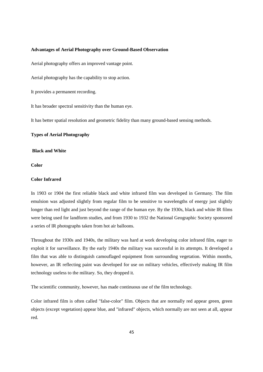### **Advantages of Aerial Photography over Ground-Based Observation**

Aerial photography offers an improved vantage point.

Aerial photography has the capability to stop action.

It provides a permanent recording.

It has broader spectral sensitivity than the human eye.

It has better spatial resolution and geometric fidelity than many ground-based sensing methods.

## **Types of Aerial Photography**

## **Black and White**

**Color**

## **Color Infrared**

In 1903 or 1904 the first reliable black and white infrared film was developed in Germany. The film emulsion was adjusted slightly from regular film to be sensitive to wavelengths of energy just slightly longer than red light and just beyond the range of the human eye. By the 1930s, black and white IR films were being used for landform studies, and from 1930 to 1932 the National Geographic Society sponsored a series of IR photographs taken from hot air balloons.

Throughout the 1930s and 1940s, the military was hard at work developing color infrared film, eager to exploit it for surveillance. By the early 1940s the military was successful in its attempts. It developed a film that was able to distinguish camouflaged equipment from surrounding vegetation. Within months, however, an IR reflecting paint was developed for use on military vehicles, effectively making IR film technology useless to the military. So, they dropped it.

The scientific community, however, has made continuous use of the film technology.

Color infrared film is often called "false-color" film. Objects that are normally red appear green, green objects (except vegetation) appear blue, and "infrared" objects, which normally are not seen at all, appear red.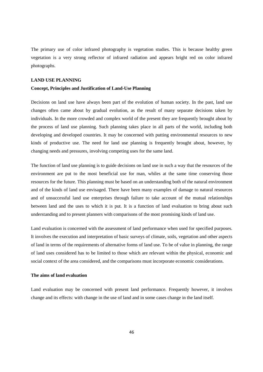The primary use of color infrared photography is vegetation studies. This is because healthy green vegetation is a very strong reflector of infrared radiation and appears bright red on color infrared photographs.

## **LAND USE PLANNING**

## **Concept, Principles and Justification of Land-Use Planning**

Decisions on land use have always been part of the evolution of human society. In the past, land use changes often came about by gradual evolution, as the result of many separate decisions taken by individuals. In the more crowded and complex world of the present they are frequently brought about by the process of land use planning. Such planning takes place in all parts of the world, including both developing and developed countries. It may be concerned with putting environmental resources to new kinds of productive use. The need for land use planning is frequently brought about, however, by changing needs and pressures, involving competing uses for the same land.

The function of land use planning is to guide decisions on land use in such a way that the resources of the environment are put to the most beneficial use for man, whiles at the same time conserving those resources for the future. This planning must be based on an understanding both of the natural environment and of the kinds of land use envisaged. There have been many examples of damage to natural resources and of unsuccessful land use enterprises through failure to take account of the mutual relationships between land and the uses to which it is put. It is a function of land evaluation to bring about such understanding and to present planners with comparisons of the most promising kinds of land use.

Land evaluation is concerned with the assessment of land performance when used for specified purposes. It involves the execution and interpretation of basic surveys of climate, soils, vegetation and other aspects of land in terms of the requirements of alternative forms of land use. To be of value in planning, the range of land uses considered has to be limited to those which are relevant within the physical, economic and social context of the area considered, and the comparisons must incorporate economic considerations.

#### **The aims of land evaluation**

Land evaluation may be concerned with present land performance. Frequently however, it involves change and its effects: with change in the use of land and in some cases change in the land itself.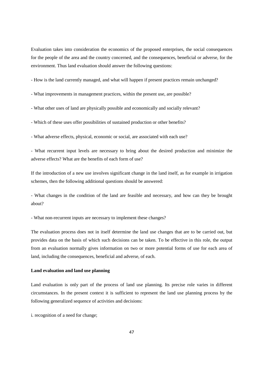Evaluation takes into consideration the economics of the proposed enterprises, the social consequences for the people of the area and the country concerned, and the consequences, beneficial or adverse, for the environment. Thus land evaluation should answer the following questions:

- How is the land currently managed, and what will happen if present practices remain unchanged?

- What improvements in management practices, within the present use, are possible?
- What other uses of land are physically possible and economically and socially relevant?
- Which of these uses offer possibilities of sustained production or other benefits?
- What adverse effects, physical, economic or social, are associated with each use?

- What recurrent input levels are necessary to bring about the desired production and minimize the adverse effects? What are the benefits of each form of use?

If the introduction of a new use involves significant change in the land itself, as for example in irrigation schemes, then the following additional questions should be answered:

- What changes in the condition of the land are feasible and necessary, and how can they be brought about?

- What non-recurrent inputs are necessary to implement these changes?

The evaluation process does not in itself determine the land use changes that are to be carried out, but provides data on the basis of which such decisions can be taken. To be effective in this role, the output from an evaluation normally gives information on two or more potential forms of use for each area of land, including the consequences, beneficial and adverse, of each.

## **Land evaluation and land use planning**

Land evaluation is only part of the process of land use planning. Its precise role varies in different circumstances. In the present context it is sufficient to represent the land use planning process by the following generalized sequence of activities and decisions:

i. recognition of a need for change;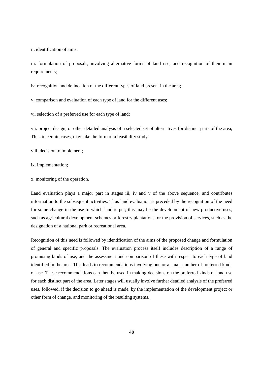ii. identification of aims;

iii. formulation of proposals, involving alternative forms of land use, and recognition of their main requirements;

iv. recognition and delineation of the different types of land present in the area;

v. comparison and evaluation of each type of land for the different uses;

vi. selection of a preferred use for each type of land;

vii. project design, or other detailed analysis of a selected set of alternatives for distinct parts of the area; This, in certain cases, may take the form of a feasibility study.

viii. decision to implement;

ix. implementation;

x. monitoring of the operation.

Land evaluation plays a major part in stages iii, iv and v of the above sequence, and contributes information to the subsequent activities. Thus land evaluation is preceded by the recognition of the need for some change in the use to which land is put; this may be the development of new productive uses, such as agricultural development schemes or forestry plantations, or the provision of services, such as the designation of a national park or recreational area.

Recognition of this need is followed by identification of the aims of the proposed change and formulation of general and specific proposals. The evaluation process itself includes description of a range of promising kinds of use, and the assessment and comparison of these with respect to each type of land identified in the area. This leads to recommendations involving one or a small number of preferred kinds of use. These recommendations can then be used in making decisions on the preferred kinds of land use for each distinct part of the area. Later stages will usually involve further detailed analysis of the preferred uses, followed, if the decision to go ahead is made, by the implementation of the development project or other form of change, and monitoring of the resulting systems.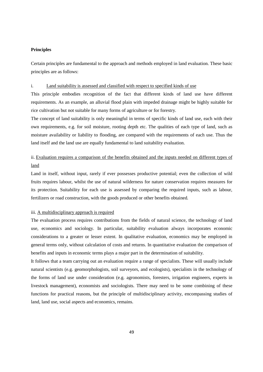## **Principles**

Certain principles are fundamental to the approach and methods employed in land evaluation. These basic principles are as follows:

## i. Land suitability is assessed and classified with respect to specified kinds of use

This principle embodies recognition of the fact that different kinds of land use have different requirements. As an example, an alluvial flood plain with impeded drainage might be highly suitable for rice cultivation but not suitable for many forms of agriculture or for forestry.

The concept of land suitability is only meaningful in terms of specific kinds of land use, each with their own requirements, e.g. for soil moisture, rooting depth etc. The qualities of each type of land, such as moisture availability or liability to flooding, are compared with the requirements of each use. Thus the land itself and the land use are equally fundamental to land suitability evaluation.

## ii. Evaluation requires a comparison of the benefits obtained and the inputs needed on different types of land

Land in itself, without input, rarely if ever possesses productive potential; even the collection of wild fruits requires labour, whilst the use of natural wilderness for nature conservation requires measures for its protection. Suitability for each use is assessed by comparing the required inputs, such as labour, fertilizers or road construction, with the goods produced or other benefits obtained.

## iii. A multidisciplinary approach is required

The evaluation process requires contributions from the fields of natural science, the technology of land use, economics and sociology. In particular, suitability evaluation always incorporates economic considerations to a greater or lesser extent. In qualitative evaluation, economics may be employed in general terms only, without calculation of costs and returns. In quantitative evaluation the comparison of benefits and inputs in economic terms plays a major part in the determination of suitability.

It follows that a team carrying out an evaluation require a range of specialists. These will usually include natural scientists (e.g. geomorphologists, soil surveyors, and ecologists), specialists in the technology of the forms of land use under consideration (e.g. agronomists, foresters, irrigation engineers, experts in livestock management), economists and sociologists. There may need to be some combining of these functions for practical reasons, but the principle of multidisciplinary activity, encompassing studies of land, land use, social aspects and economics, remains.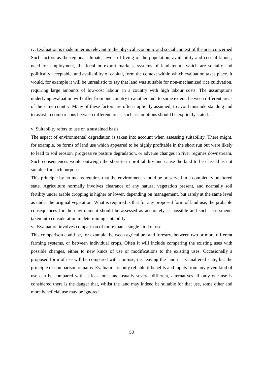iv. Evaluation is made in terms relevant to the physical economic and social context of the area concerned Such factors as the regional climate, levels of living of the population, availability and cost of labour, need for employment, the local or export markets, systems of land tenure which are socially and politically acceptable, and availability of capital, form the context within which evaluation takes place. It would, for example it will be unrealistic to say that land was suitable for non-mechanized rice cultivation, requiring large amounts of low-cost labour, in a country with high labour costs. The assumptions underlying evaluation will differ from one country to another and, to some extent, between different areas of the same country. Many of these factors are often implicitly assumed; to avoid misunderstanding and to assist in comparisons between different areas, such assumptions should be explicitly stated.

## v. Suitability refers to use on a sustained basis

The aspect of environmental degradation is taken into account when assessing suitability. There might, for example, be forms of land use which appeared to be highly profitable in the short run but were likely to lead to soil erosion, progressive pasture degradation, or adverse changes in river regimes downstream. Such consequences would outweigh the short-term profitability and cause the land to be classed as not suitable for such purposes.

This principle by no means requires that the environment should be preserved in a completely unaltered state. Agriculture normally involves clearance of any natural vegetation present, and normally soil fertility under arable cropping is higher or lower, depending on management, but rarely at the same level as under the original vegetation. What is required is that for any proposed form of land use, the probable consequences for the environment should be assessed as accurately as possible and such assessments taken into consideration in determining suitability.

## vi. Evaluation involves comparison of more than a single kind of use

This comparison could be, for example, between agriculture and forestry, between two or more different farming systems, or between individual crops. Often it will include comparing the existing uses with possible changes, either to new kinds of use or modifications to the existing uses. Occasionally a proposed form of use will be compared with non-use, i.e. leaving the land in its unaltered state, but the principle of comparison remains. Evaluation is only reliable if benefits and inputs from any given kind of use can be compared with at least one, and usually several different, alternatives. If only one use is considered there is the danger that, whilst the land may indeed be suitable for that use, some other and more beneficial use may be ignored.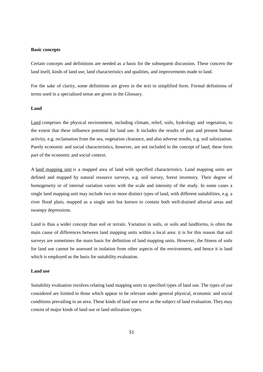#### **Basic concepts**

Certain concepts and definitions are needed as a basis for the subsequent discussion. These concern the land itself, kinds of land use, land characteristics and qualities, and improvements made to land.

For the sake of clarity, some definitions are given in the text in simplified form. Formal definitions of terms used in a specialized sense are given in the Glossary.

## **Land**

Land comprises the physical environment, including climate, relief, soils, hydrology and vegetation, to the extent that these influence potential for land use. It includes the results of past and present human activity, e.g. reclamation from the sea, vegetation clearance, and also adverse results, e.g. soil salinization. Purely economic and social characteristics, however, are not included in the concept of land; these form part of the economic and social context.

A land mapping unit is a mapped area of land with specified characteristics. Land mapping units are defined and mapped by natural resource surveys, e.g. soil survey, forest inventory. Their degree of homogeneity or of internal variation varies with the scale and intensity of the study. In some cases a single land mapping unit may include two or more distinct types of land, with different suitabilities, e.g. a river flood plain, mapped as a single unit but known to contain both well-drained alluvial areas and swampy depressions.

Land is thus a wider concept than soil or terrain. Variation in soils, or soils and landforms, is often the main cause of differences between land mapping units within a local area: it is for this reason that soil surveys are sometimes the main basis for definition of land mapping units. However, the fitness of soils for land use cannot be assessed in isolation from other aspects of the environment, and hence it is land which is employed as the basis for suitability evaluation.

## **Land use**

Suitability evaluation involves relating land mapping units to specified types of land use. The types of use considered are limited to those which appear to be relevant under general physical, economic and social conditions prevailing in an area. These kinds of land use serve as the subject of land evaluation. They may consist of major kinds of land use or land utilization types.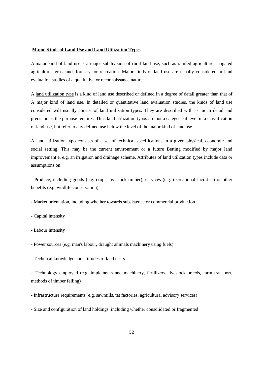## **Major Kinds of Land Use and Land Utilization Types**

A major kind of land use is a major subdivision of rural land use, such as rainfed agriculture, irrigated agriculture, grassland, forestry, or recreation. Major kinds of land use are usually considered in land evaluation studies of a qualitative or reconnaissance nature.

A land utilization type is a kind of land use described or defined in a degree of detail greater than that of A major kind of land use. In detailed or quantitative land evaluation studies, the kinds of land use considered will usually consist of land utilization types. They are described with as much detail and precision as the purpose requires. Thus land utilization typos are not a categorical level in a classification of land use, but refer to any defined use below the level of the major kind of land use.

A land utilization typo consists of a set of technical specifications in a given physical, economic and social setting. This may be the current environment or a future Betting modified by major land improvement e, e.g. an irrigation and drainage scheme. Attributes of land utilization types include data or assumptions on:

- Produce, including goods (e.g. crops, livestock timber), cervices (e.g. recreational facilities) or other benefits (e.g. wildlife conservation)

- Market orientation, including whether towards subsistence or commercial production
- Capital intensity
- Labour intensity
- Power sources (e.g. man's labour, draught animals machinery using fuels)
- Technical knowledge and attitudes of land users

- Technology employed (e.g. implements and machinery, fertilizers, livestock breeds, farm transport, methods of timber felling)

- Infrastructure requirements (e.g. sawmills, tat factories, agricultural advisory services)
- Size and configuration of land holdings, including whether consolidated or fragmented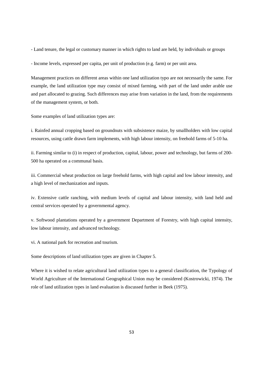- Land tenure, the legal or customary manner in which rights to land are held, by individuals or groups

- Income levels, expressed per capita, per unit of production (e.g. farm) or per unit area.

Management practices on different areas within one land utilization typo are not necessarily the same. For example, the land utilization type may consist of mixed farming, with part of the land under arable use and part allocated to grazing. Such differences may arise from variation in the land, from the requirements of the management system, or both.

Some examples of land utilization types are:

i. Rainfed annual cropping based on groundnuts with subsistence maize, by smallholders with low capital resources, using cattle drawn farm implements, with high labour intensity, on freehold farms of 5-10 ha.

ii. Farming similar to (i) in respect of production, capital, labour, power and technology, but farms of 200- 500 ha operated on a communal basis.

iii. Commercial wheat production on large freehold farms, with high capital and low labour intensity, and a high level of mechanization and inputs.

iv. Extensive cattle ranching, with medium levels of capital and labour intensity, with land held and central services operated by a governmental agency.

v. Softwood plantations operated by a government Department of Forestry, with high capital intensity, low labour intensity, and advanced technology.

vi. A national park for recreation and tourism.

Some descriptions of land utilization types are given in Chapter 5.

Where it is wished to relate agricultural land utilization types to a general classification, the Typology of World Agriculture of the International Geographical Union may be considered (Kostrowicki, 1974). The role of land utilization types in land evaluation is discussed further in Beek (1975).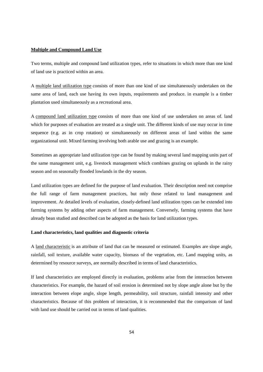## **Multiple and Compound Land Use**

Two terms, multiple and compound land utilization types, refer to situations in which more than one kind of land use is practiced within an area.

A multiple land utilization type consists of more than one kind of use simultaneously undertaken on the same area of land, each use having its own inputs, requirements and produce. in example is a timber plantation used simultaneously as a recreational area.

A compound land utilization type consists of more than one kind of use undertaken on areas of. land which for purposes of evaluation are treated as a single unit. The different kinds of use may occur in time sequence (e.g. as in crop rotation) or simultaneously on different areas of land within the same organizational unit. Mixed farming involving both arable use and grazing is an example.

Sometimes an appropriate land utilization type can be found by making several land mapping units part of the same management unit, e.g. livestock management which combines grazing on uplands in the rainy season and on seasonally flooded lowlands in the dry season.

Land utilization types are defined for the purpose of land evaluation. Their description need not comprise the full range of farm management practices, but only those related to land management and improvement. At detailed levels of evaluation, closely-defined land utilization types can be extended into farming systems by adding other aspects of farm management. Conversely, farming systems that have already bean studied and described can be adopted as the basis for land utilization types.

## **Land characteristics, land qualities and diagnostic criteria**

A land characteristic is an attribute of land that can be measured or estimated. Examples are slope angle, rainfall, soil texture, available water capacity, biomass of the vegetation, etc. Land mapping units, as determined by resource surveys, are normally described in terms of land characteristics.

If land characteristics are employed directly in evaluation, problems arise from the interaction between characteristics. For example, the hazard of soil erosion is determined not by slope angle alone but by the interaction between elope angle, slope length, permeability, soil structure, rainfall intensity and other characteristics. Because of this problem of interaction, it is recommended that the comparison of land with land use should be carried out in terms of land qualities.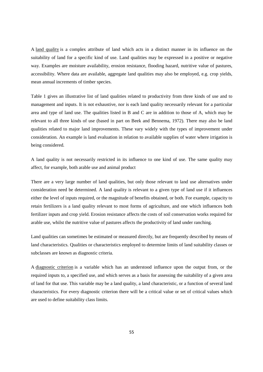A land quality is a complex attribute of land which acts in a distinct manner in its influence on the suitability of land for a specific kind of use. Land qualities may be expressed in a positive or negative way. Examples are moisture availability, erosion resistance, flooding hazard, nutritive value of pastures, accessibility. Where data are available, aggregate land qualities may also be employed, e.g. crop yields, mean annual increments of timber species.

Table 1 gives an illustrative list of land qualities related to productivity from three kinds of use and to management and inputs. It is not exhaustive, nor is each land quality necessarily relevant for a particular area and type of land use. The qualities listed in B and C are in addition to those of A, which may be relevant to all three kinds of use (based in part on Beek and Bennema, 1972). There may also be land qualities related to major land improvements. These vary widely with the types of improvement under consideration. An example is land evaluation in relation to available supplies of water where irrigation is being considered.

A land quality is not necessarily restricted in its influence to one kind of use. The same quality may affect, for example, both arable use and animal product

There are a very large number of land qualities, but only those relevant to land use alternatives under consideration need be determined. A land quality is relevant to a given type of land use if it influences either the level of inputs required, or the magnitude of benefits obtained, or both. For example, capacity to retain fertilizers is a land quality relevant to most forms of agriculture, and one which influences both fertilizer inputs and crop yield. Erosion resistance affects the costs of soil conservation works required for arable use, whilst the nutritive value of pastures affects the productivity of land under ranching.

Land qualities can sometimes be estimated or measured directly, but are frequently described by means of land characteristics. Qualities or characteristics employed to determine limits of land suitability classes or subclasses are known as diagnostic criteria.

A diagnostic criterion is a variable which has an understood influence upon the output from, or the required inputs to, a specified use, and which serves as a basis for assessing the suitability of a given area of land for that use. This variable may be a land quality, a land characteristic, or a function of several land characteristics. For every diagnostic criterion there will be a critical value or set of critical values which are used to define suitability class limits.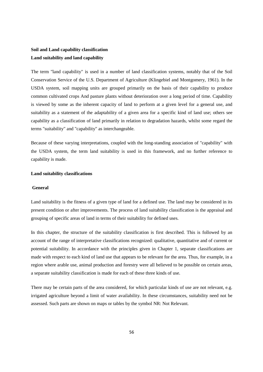## **Soil and Land capability classification Land suitability and land capability**

The term "land capability" is used in a number of land classification systems, notably that of the Soil Conservation Service of the U.S. Department of Agriculture (Klingebiel and Montgomery, 1961). In the USDA system, soil mapping units are grouped primarily on the basis of their capability to produce common cultivated crops And pasture plants without deterioration over a long period of time. Capability is viewed by some as the inherent capacity of land to perform at a given level for a general use, and suitability as a statement of the adaptability of a given area for a specific kind of land use; others see capability as a classification of land primarily in relation to degradation hazards, whilst some regard the terms "suitability" and "capability" as interchangeable.

Because of these varying interpretations, coupled with the long-standing association of "capability" with the USDA system, the term land suitability is used in this framework, and no further reference to capability is made.

## **Land suitability classifications**

## **General**

Land suitability is the fitness of a given type of land for a defined use. The land may be considered in its present condition or after improvements. The process of land suitability classification is the appraisal and grouping of specific areas of land in terms of their suitability for defined uses.

In this chapter, the structure of the suitability classification is first described. This is followed by an account of the range of interpretative classifications recognized: qualitative, quantitative and of current or potential suitability. In accordance with the principles given in Chapter 1, separate classifications are made with respect to each kind of land use that appears to be relevant for the area. Thus, for example, in a region where arable use, animal production and forestry were all believed to be possible on certain areas, a separate suitability classification is made for each of these three kinds of use.

There may be certain parts of the area considered, for which particular kinds of use are not relevant, e.g. irrigated agriculture beyond a limit of water availability. In these circumstances, suitability need not be assessed. Such parts are shown on maps or tables by the symbol NR: Not Relevant.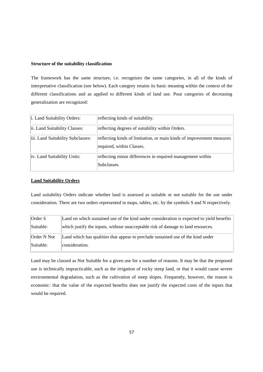## **Structure of the suitability classification**

The framework has the same structure, i.e. recognizes the same categories, in all of the kinds of interpretative classification (see below). Each category retains its basic meaning within the context of the different classifications and as applied to different kinds of land use. Pour categories of decreasing generalization are recognized:

| i. Land Suitability Orders:       | reflecting kinds of suitability.                                                                   |
|-----------------------------------|----------------------------------------------------------------------------------------------------|
| ii. Land Suitability Classes:     | reflecting degrees of suitability within Orders.                                                   |
| iii. Land Suitability Subclasses: | reflecting kinds of limitation, or main kinds of improvement measures<br>required, within Classes. |
| liv. Land Suitability Units:      | reflecting minor differences in required management within<br>Subclasses.                          |

## **Land Suitability Orders**

Land suitability Orders indicate whether land is assessed as suitable or not suitable for the use under consideration. There are two orders represented in maps, tables, etc. by the symbols S and N respectively.

| Order S     | Land on which sustained use of the kind under consideration is expected to yield benefits |
|-------------|-------------------------------------------------------------------------------------------|
| Suitable:   | which justify the inputs, without unacceptable risk of damage to land resources.          |
| Order N Not | Land which has qualities that appear to preclude sustained use of the kind under          |
| Suitable:   | consideration.                                                                            |

Land may be classed as Not Suitable for a given use for a number of reasons. It may be that the proposed use is technically impracticable, such as the irrigation of rocky steep land, or that it would cause severe environmental degradation, such as the cultivation of steep slopes. Frequently, however, the reason is economic: that the value of the expected benefits does not justify the expected costs of the inputs that would be required.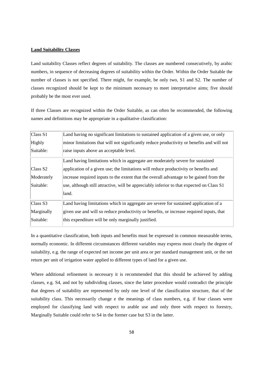#### **Land Suitability Classes**

Land suitability Classes reflect degrees of suitability. The classes are numbered consecutively, by arabic numbers, in sequence of decreasing degrees of suitability within the Order. Within the Order Suitable the number of classes is not specified. There might, for example, be only two, S1 and S2. The number of classes recognized should be kept to the minimum necessary to meet interpretative aims; five should probably be the most ever used.

If three Classes are recognized within the Order Suitable, as can often be recommended, the following names and definitions may be appropriate in a qualitative classification:

| $\textsf{Class } S1$<br>Highly<br>Suitable: | Land having no significant limitations to sustained application of a given use, or only<br>minor limitations that will not significantly reduce productivity or benefits and will not<br>raise inputs above an acceptable level. |
|---------------------------------------------|----------------------------------------------------------------------------------------------------------------------------------------------------------------------------------------------------------------------------------|
|                                             | Land having limitations which in aggregate are moderately severe for sustained                                                                                                                                                   |
| $\textsf{Class } \textsf{S2}$               | application of a given use; the limitations will reduce productivity or benefits and                                                                                                                                             |
| Moderately                                  | increase required inputs to the extent that the overall advantage to be gained from the                                                                                                                                          |
| Suitable:                                   | use, although still attractive, will be appreciably inferior to that expected on Class S1                                                                                                                                        |
|                                             | land.                                                                                                                                                                                                                            |
| $\textsf{Class } S3$                        | Land having limitations which in aggregate are severe for sustained application of a                                                                                                                                             |
| Marginally                                  | given use and will so reduce productivity or benefits, or increase required inputs, that                                                                                                                                         |
| Suitable:                                   | this expenditure will be only marginally justified.                                                                                                                                                                              |

In a quantitative classification, both inputs and benefits must be expressed in common measurable terms, normally economic. In different circumstances different variables may express most clearly the degree of suitability, e.g. the range of expected net income per unit area or per standard management unit, or the net return per unit of irrigation water applied to different types of land for a given use.

Where additional refinement is necessary it is recommended that this should be achieved by adding classes, e.g. S4, and not by subdividing classes, since the latter procedure would contradict the principle that degrees of suitability are represented by only one level of the classification structure, that of the suitability class. This necessarily change e the meanings of class numbers, e.g. if four classes were employed for classifying land with respect to arable use and only three with respect to forestry, Marginally Suitable could refer to S4 in the former case but S3 in the latter.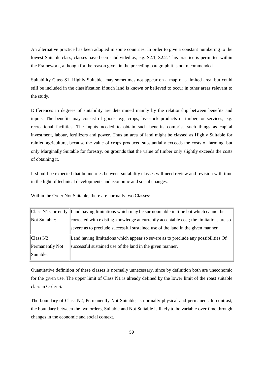An alternative practice has been adopted in some countries. In order to give a constant numbering to the lowest Suitable class, classes have been subdivided as, e.g. S2.1, S2.2. This practice is permitted within the Framework, although for the reason given in the preceding paragraph it is not recommended.

Suitability Class S1, Highly Suitable, may sometimes not appear on a map of a limited area, but could still be included in the classification if such land is known or believed to occur in other areas relevant to the study.

Differences in degrees of suitability are determined mainly by the relationship between benefits and inputs. The benefits may consist of goods, e.g. crops, livestock products or timber, or services, e.g. recreational facilities. The inputs needed to obtain such benefits comprise such things as capital investment, labour, fertilizers and power. Thus an area of land might be classed as Highly Suitable for rainfed agriculture, because the value of crops produced substantially exceeds the costs of farming, but only Marginally Suitable for forestry, on grounds that the value of timber only slightly exceeds the costs of obtaining it.

It should be expected that boundaries between suitability classes will need review and revision with time in the light of technical developments and economic and social changes.

Within the Order Not Suitable, there are normally two Classes:

|                  | Class N1 Currently Land having limitations which may be surmountable in time but which cannot be |
|------------------|--------------------------------------------------------------------------------------------------|
| Not Suitable:    | corrected with existing knowledge at currently acceptable cost; the limitations are so           |
|                  | severe as to preclude successful sustained use of the land in the given manner.                  |
| $\vert$ Class N2 | Land having limitations which appear so severe as to preclude any possibilities Of               |
| Permanently Not  | successful sustained use of the land in the given manner.                                        |
| Suitable:        |                                                                                                  |
|                  |                                                                                                  |

Quantitative definition of these classes is normally unnecessary, since by definition both are uneconomic for the given use. The upper limit of Class N1 is already defined by the lower limit of the roast suitable class in Order S.

The boundary of Class N2, Permanently Not Suitable, is normally physical and permanent. In contrast, the boundary between the two orders, Suitable and Not Suitable is likely to be variable over time through changes in the economic and social context.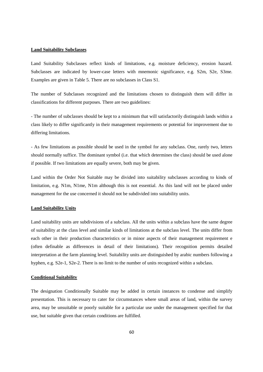#### **Land Suitability Subclasses**

Land Suitability Subclasses reflect kinds of limitations, e.g. moisture deficiency, erosion hazard. Subclasses are indicated by lower-case letters with mnemonic significance, e.g. S2m, S2e, S3me. Examples are given in Table 5. There are no subclasses in Class S1.

The number of Subclasses recognized and the limitations chosen to distinguish them will differ in classifications for different purposes. There are two guidelines:

- The number of subclasses should be kept to a minimum that will satisfactorily distinguish lands within a class likely to differ significantly in their management requirements or potential for improvement due to differing limitations.

- As few limitations as possible should be used in the symbol for any subclass. One, rarely two, letters should normally suffice. The dominant symbol (i.e. that which determines the class) should be used alone if possible. If two limitations are equally severe, both may be given.

Land within the Order Not Suitable may be divided into suitability subclasses according to kinds of limitation, e.g. N1m, N1me, N1m although this is not essential. As this land will not be placed under management for the use concerned it should not be subdivided into suitability units.

#### **Land Suitability Units**

Land suitability units are subdivisions of a subclass. All the units within a subclass have the same degree of suitability at the class level and similar kinds of limitations at the subclass level. The units differ from each other in their production characteristics or in minor aspects of their management requirement e (often definable as differences in detail of their limitations). Their recognition permits detailed interpretation at the farm planning level. Suitability units are distinguished by arabic numbers following a hyphen, e.g. S2e-1, S2e-2. There is no limit to the number of units recognized within a subclass.

#### **Conditional Suitability**

The designation Conditionally Suitable may be added in certain instances to condense and simplify presentation. This is necessary to cater for circumstances where small areas of land, within the survey area, may be unsuitable or poorly suitable for a particular use under the management specified for that use, but suitable given that certain conditions are fulfilled.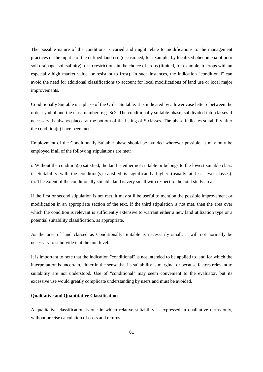The possible nature of the conditions is varied and might relate to modifications to the management practices or the input e of the defined land use (occasioned, for example, by localized phenomena of poor soil drainage, soil salinity); or to restrictions in the choice of crops (limited, for example, to crops with an especially high market value, or resistant to frost). In such instances, the indication "conditional" can avoid the need for additional classifications to account for local modifications of land use or local major improvements.

Conditionally Suitable is a phase of the Order Suitable. It is indicated by a lower case letter c between the order symbol and the class number, e.g. Sc2. The conditionally suitable phase, subdivided into classes if necessary, is always placed at the bottom of the listing of S classes. The phase indicates suitability after the condition(e) have been met.

Employment of the Conditionally Suitable phase should be avoided wherever possible. It may only be employed if all of the following stipulations are met:

i. Without the condition(s) satisfied, the land is either not suitable or belongs to the lowest suitable class. ii. Suitability with the condition(s) satisfied is significantly higher (usually at least two classes). iii. The extent of the conditionally suitable land is very small with respect to the total study area.

If the first or second stipulation is not met, it may still be useful to mention the possible improvement or modification in an appropriate section of the text. If the third stipulation is not met, then the area over which the condition is relevant is sufficiently extensive to warrant either a new land utilization type or a potential suitability classification, as appropriate.

As the area of land classed as Conditionally Suitable is necessarily small, it will not normally be necessary to subdivide it at the unit level.

It is important to note that the indication "conditional" is not intended to be applied to land for which the interpretation is uncertain, either in the sense that its suitability is marginal or because factors relevant to suitability are not understood. Use of "conditional" may seem convenient to the evaluator, but its excessive use would greatly complicate understanding by users and must be avoided.

## **Qualitative and Quantitative Classifications**

A qualitative classification is one in which relative suitability is expressed in qualitative terms only, without precise calculation of costs and returns.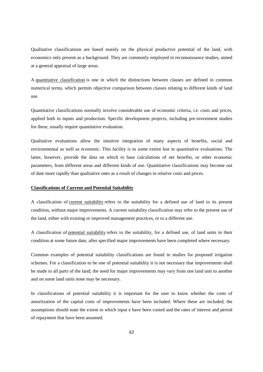Qualitative classifications are based mainly on the physical productive potential of the land, with economics only present as a background. They are commonly employed in reconnaissance studies, aimed at a general appraisal of large areas.

A quantitative classification is one in which the distinctions between classes are defined in common numerical terms, which permits objective comparison between classes relating to different kinds of land use.

Quantitative classifications normally involve considerable use of economic criteria, i.e. costs and prices, applied both to inputs and production. Specific development projects, including pre-investment studies for these, usually require quantitative evaluation.

Qualitative evaluations allow the intuitive integration of many aspects of benefits, social and environmental as well as economic. This facility is to some extent lost in quantitative evaluations. The latter, however, provide the data on which to base calculations of net benefits, or other economic parameters, from different areas and different kinds of use. Quantitative classifications may become out of date more rapidly than qualitative ones as a result of changes in relative costs and prices.

## **Classifications of Current and Potential Suitability**

A classification of current suitability refers to the suitability for a defined use of land in its present condition, without major improvements. A current suitability classification may refer to the present use of the land, either with existing or improved management practices, or to a different use.

A classification of potential suitability refers to the suitability, for a defined use, of land units in their condition at some future date, after specified major improvements have been completed where necessary.

Common examples of potential suitability classifications are found in studies for proposed irrigation schemes. For a classification to be one of potential suitability it is not necessary that improvements shall be made to all parts of the land; the need for major improvements may vary from one land unit to another and on some land units none may be necessary.

In classifications of potential suitability it is important for the user to know whether the costs of amortization of the capital costs of improvements have been included. Where these are included, the assumptions should state the extent to which input e have been costed and the rates of interest and period of repayment that have been assumed.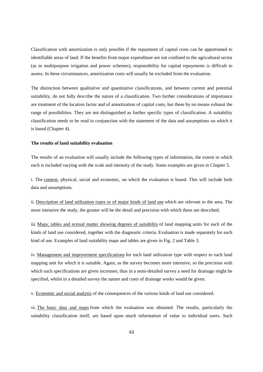Classification with amortization is only possible if the repayment of capital costs can be apportioned to identifiable areas of land. If the benefits from major expenditure are not confined to the agricultural sector (as in multipurpose irrigation and power schemes), responsibility for capital repayments is difficult to assess. In these circumstances, amortization costs will usually be excluded from the evaluation.

The distinction between qualitative and quantitative classifications, and between current and potential suitability, do not fully describe the nature of a classification. Two further considerations of importance are treatment of the location factor and of amortization of capital costs, but these by no means exhaust the range of possibilities. They are not distinguished as further specific types of classification. A suitability classification needs to be read in conjunction with the statement of the data and assumptions on which it is based (Chapter 4).

## **The results of land suitability evaluation**

The results of an evaluation will usually include the following types of information, the extent to which each is included varying with the scale and intensity of the study. Some examples are given in Chapter 5.

i. The context, physical, social and economic, on which the evaluation is based. This will include both data and assumptions.

ii. Description of land utilization types or of major kinds of land use which are relevant to the area. The more intensive the study, the greater will be the detail and precision with which these are described.

iii. Maps, tables and textual matter showing degrees of suitability of land mapping units for each of the kinds of land use considered, together with the diagnostic criteria. Evaluation is made separately for each kind of use. Examples of land suitability maps and tables are given in Fig. 2 and Table 3.

iv. Management and improvement specifications for each land utilization type with respect to each land mapping unit for which it is suitable. Again, as the survey becomes more intensive, so the precision with which such specifications are given increases; thus in a semi-detailed survey a need for drainage might be specified, whilst in a detailed survey the nature and costs of drainage works would be given.

v. Economic and social analysis of the consequences of the various kinds of land use considered.

vi. The basic data and maps from which the evaluation was obtained. The results, particularly the suitability classification itself, are based upon much information of value to individual users. Such